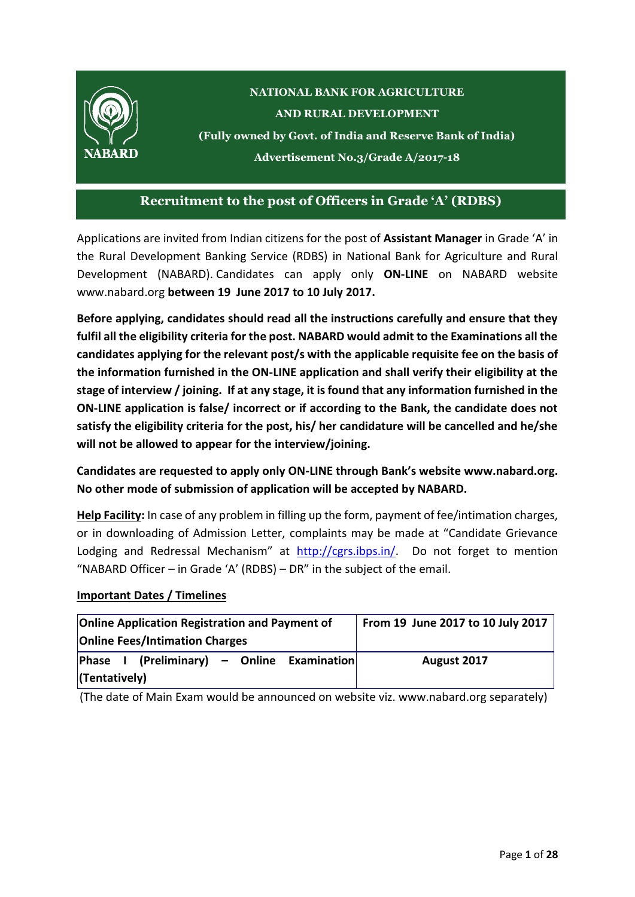

### **Recruitment to the post of Officers in Grade 'A' (RDBS)**

Applications are invited from Indian citizens for the post of **Assistant Manager** in Grade 'A' in the Rural Development Banking Service (RDBS) in National Bank for Agriculture and Rural Development (NABARD). Candidates can apply only **ON-LINE** on NABARD website [www.nabard.org](http://www.nabard.org/) **between 19 June 2017 to 10 July 2017.**

**Before applying, candidates should read all the instructions carefully and ensure that they fulfil all the eligibility criteria for the post. NABARD would admit to the Examinations all the candidates applying for the relevant post/s with the applicable requisite fee on the basis of the information furnished in the ON-LINE application and shall verify their eligibility at the stage of interview / joining. If at any stage, it is found that any information furnished in the ON-LINE application is false/ incorrect or if according to the Bank, the candidate does not satisfy the eligibility criteria for the post, his/ her candidature will be cancelled and he/she will not be allowed to appear for the interview/joining.**

**Candidates are requested to apply only ON-LINE through Bank's website [www.nabard.org.](http://www.nabard.org/) No other mode of submission of application will be accepted by NABARD.**

**Help Facility:** In case of any problem in filling up the form, payment of fee/intimation charges, or in downloading of Admission Letter, complaints may be made at "Candidate Grievance Lodging and Redressal Mechanism" at [http://cgrs.ibps.in/.](http://cgrs.ibps.in/) Do not forget to mention "NABARD Officer – in Grade 'A' (RDBS) – DR" in the subject of the email.

#### **Important Dates / Timelines**

| <b>Online Application Registration and Payment of</b> | From 19 June 2017 to 10 July 2017 |
|-------------------------------------------------------|-----------------------------------|
| <b>Online Fees/Intimation Charges</b>                 |                                   |
| $\vert$ Phase I (Preliminary) – Online Examination    | August 2017                       |
| $ $ (Tentatively)                                     |                                   |

(The date of Main Exam would be announced on website viz. www.nabard.org separately)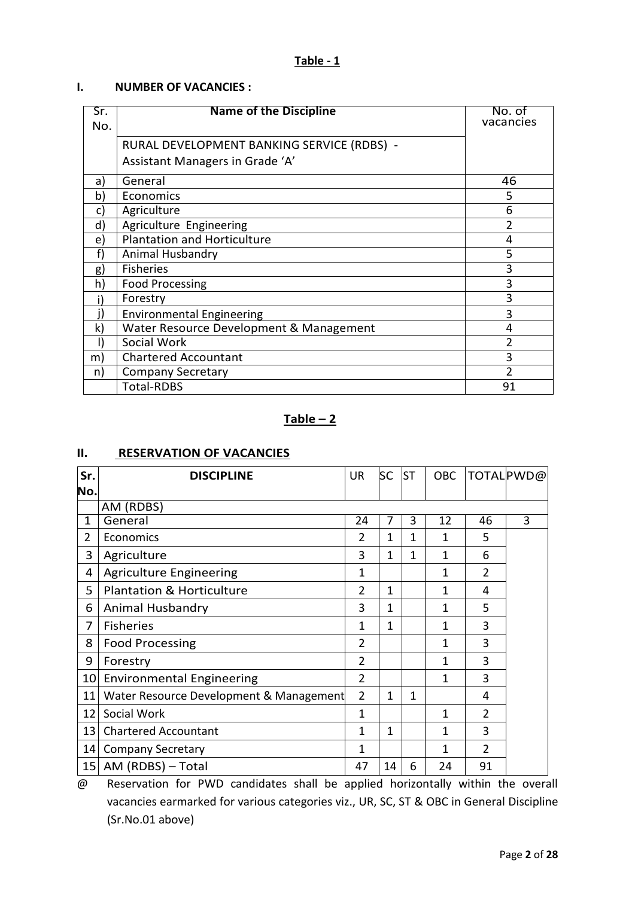### **Table - 1**

#### **I. NUMBER OF VACANCIES :**

| Sr.<br>No.     | <b>Name of the Discipline</b>              | No. of<br>vacancies |
|----------------|--------------------------------------------|---------------------|
|                | RURAL DEVELOPMENT BANKING SERVICE (RDBS) - |                     |
|                | Assistant Managers in Grade 'A'            |                     |
| a)             | General                                    | 46                  |
| b)             | Economics                                  | 5                   |
| C)             | Agriculture                                | 6                   |
| $\mathsf{d}$ ) | Agriculture Engineering                    | $\mathfrak z$       |
| e)             | <b>Plantation and Horticulture</b>         | 4                   |
| f              | Animal Husbandry                           | 5                   |
| g)             | <b>Fisheries</b>                           | 3                   |
| h)             | <b>Food Processing</b>                     | 3                   |
|                | Forestry                                   | 3                   |
|                | <b>Environmental Engineering</b>           | 3                   |
| k)             | Water Resource Development & Management    | 4                   |
|                | Social Work                                | 2                   |
| m)             | <b>Chartered Accountant</b>                | 3                   |
| n)             | <b>Company Secretary</b>                   | C                   |
|                | <b>Total-RDBS</b>                          | 91                  |

### $Table - 2$

#### **II. RESERVATION OF VACANCIES**

| Sr.             | <b>DISCIPLINE</b>                       | <b>UR</b>      | SC           | <b>ST</b> | <b>OBC</b> |                | TOTAL PWD@ |
|-----------------|-----------------------------------------|----------------|--------------|-----------|------------|----------------|------------|
| No.             |                                         |                |              |           |            |                |            |
|                 | AM (RDBS)                               |                |              |           |            |                |            |
| 1               | General                                 | 24             | 7            | 3         | 12         | 46             | 3          |
| 2               | Economics                               | 2              | 1            | 1         | 1          | 5              |            |
| 3               | Agriculture                             | 3              | 1            | 1         | 1          | 6              |            |
| 4               | <b>Agriculture Engineering</b>          | 1              |              |           | 1          | 2              |            |
| 5               | <b>Plantation &amp; Horticulture</b>    | 2              | 1            |           | 1          | 4              |            |
| 6               | Animal Husbandry                        | 3              | 1            |           | 1          | 5              |            |
| 7               | <b>Fisheries</b>                        | 1              | $\mathbf{1}$ |           | 1          | 3              |            |
| 8               | <b>Food Processing</b>                  | 2              |              |           | 1          | 3              |            |
| 9               | Forestry                                | 2              |              |           | 1          | 3              |            |
| 10 <sub>l</sub> | <b>Environmental Engineering</b>        | 2              |              |           | 1          | 3              |            |
| 11              | Water Resource Development & Management | $\overline{2}$ | 1            | 1         |            | 4              |            |
| 12              | Social Work                             | 1              |              |           | 1          | $\overline{2}$ |            |
| 13              | <b>Chartered Accountant</b>             | 1              | 1            |           | 1          | 3              |            |
| 14              | <b>Company Secretary</b>                | 1              |              |           | 1          | $\mathcal{P}$  |            |
|                 | 15 AM (RDBS) - Total                    | 47             | 14           | 6         | 24         | 91             |            |

@ Reservation for PWD candidates shall be applied horizontally within the overall vacancies earmarked for various categories viz., UR, SC, ST & OBC in General Discipline (Sr.No.01 above)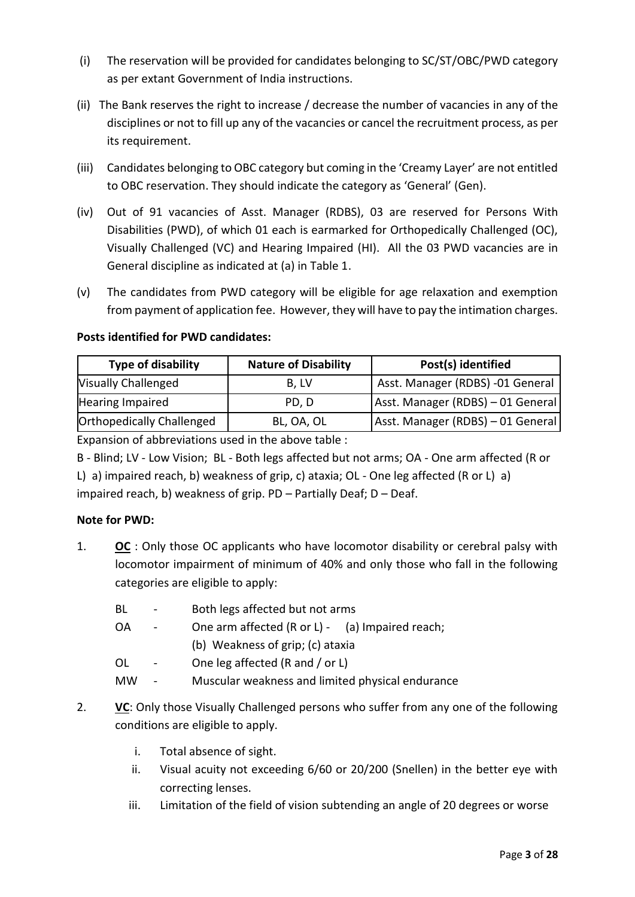- (i) The reservation will be provided for candidates belonging to SC/ST/OBC/PWD category as per extant Government of India instructions.
- (ii) The Bank reserves the right to increase / decrease the number of vacancies in any of the disciplines or not to fill up any of the vacancies or cancel the recruitment process, as per its requirement.
- (iii) Candidates belonging to OBC category but coming in the 'Creamy Layer' are not entitled to OBC reservation. They should indicate the category as 'General' (Gen).
- (iv) Out of 91 vacancies of Asst. Manager (RDBS), 03 are reserved for Persons With Disabilities (PWD), of which 01 each is earmarked for Orthopedically Challenged (OC), Visually Challenged (VC) and Hearing Impaired (HI). All the 03 PWD vacancies are in General discipline as indicated at (a) in Table 1.
- (v) The candidates from PWD category will be eligible for age relaxation and exemption from payment of application fee. However, they will have to pay the intimation charges.

### **Posts identified for PWD candidates:**

| <b>Type of disability</b>        | <b>Nature of Disability</b> | Post(s) identified                |
|----------------------------------|-----------------------------|-----------------------------------|
| <b>Visually Challenged</b>       | B. LV                       | Asst. Manager (RDBS) -01 General  |
| Hearing Impaired                 | PD, D                       | Asst. Manager (RDBS) - 01 General |
| <b>Orthopedically Challenged</b> | BL, OA, OL                  | Asst. Manager (RDBS) - 01 General |

Expansion of abbreviations used in the above table :

B - Blind; LV - Low Vision; BL - Both legs affected but not arms; OA - One arm affected (R or L) a) impaired reach, b) weakness of grip, c) ataxia; OL - One leg affected (R or L) a) impaired reach, b) weakness of grip. PD – Partially Deaf; D – Deaf.

### **Note for PWD:**

- 1. **OC** : Only those OC applicants who have locomotor disability or cerebral palsy with locomotor impairment of minimum of 40% and only those who fall in the following categories are eligible to apply:
	- BL Both legs affected but not arms
	- OA One arm affected (R or L) (a) Impaired reach; (b) Weakness of grip; (c) ataxia
	- OL One leg affected (R and / or L)
	- MW Muscular weakness and limited physical endurance
- 2. **VC**: Only those Visually Challenged persons who suffer from any one of the following conditions are eligible to apply.
	- i. Total absence of sight.
	- ii. Visual acuity not exceeding 6/60 or 20/200 (Snellen) in the better eye with correcting lenses.
	- iii. Limitation of the field of vision subtending an angle of 20 degrees or worse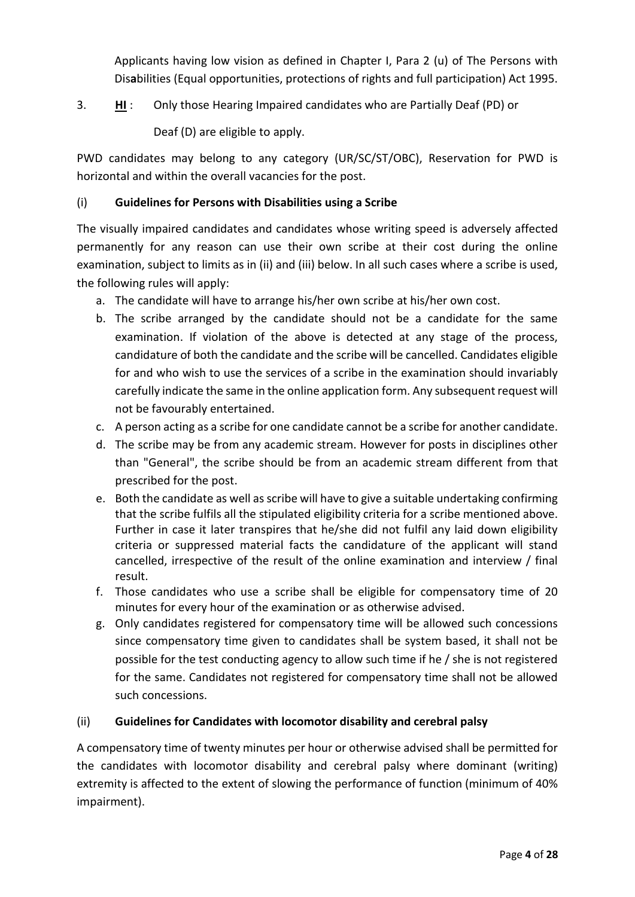Applicants having low vision as defined in Chapter I, Para 2 (u) of The Persons with Dis**a**bilities (Equal opportunities, protections of rights and full participation) Act 1995.

- 3. **HI** : Only those Hearing Impaired candidates who are Partially Deaf (PD) or
	- Deaf (D) are eligible to apply.

PWD candidates may belong to any category (UR/SC/ST/OBC), Reservation for PWD is horizontal and within the overall vacancies for the post.

### (i) **Guidelines for Persons with Disabilities using a Scribe**

The visually impaired candidates and candidates whose writing speed is adversely affected permanently for any reason can use their own scribe at their cost during the online examination, subject to limits as in (ii) and (iii) below. In all such cases where a scribe is used, the following rules will apply:

- a. The candidate will have to arrange his/her own scribe at his/her own cost.
- b. The scribe arranged by the candidate should not be a candidate for the same examination. If violation of the above is detected at any stage of the process, candidature of both the candidate and the scribe will be cancelled. Candidates eligible for and who wish to use the services of a scribe in the examination should invariably carefully indicate the same in the online application form. Any subsequent request will not be favourably entertained.
- c. A person acting as a scribe for one candidate cannot be a scribe for another candidate.
- d. The scribe may be from any academic stream. However for posts in disciplines other than "General", the scribe should be from an academic stream different from that prescribed for the post.
- e. Both the candidate as well as scribe will have to give a suitable undertaking confirming that the scribe fulfils all the stipulated eligibility criteria for a scribe mentioned above. Further in case it later transpires that he/she did not fulfil any laid down eligibility criteria or suppressed material facts the candidature of the applicant will stand cancelled, irrespective of the result of the online examination and interview / final result.
- f. Those candidates who use a scribe shall be eligible for compensatory time of 20 minutes for every hour of the examination or as otherwise advised.
- g. Only candidates registered for compensatory time will be allowed such concessions since compensatory time given to candidates shall be system based, it shall not be possible for the test conducting agency to allow such time if he / she is not registered for the same. Candidates not registered for compensatory time shall not be allowed such concessions.

### (ii) **Guidelines for Candidates with locomotor disability and cerebral palsy**

A compensatory time of twenty minutes per hour or otherwise advised shall be permitted for the candidates with locomotor disability and cerebral palsy where dominant (writing) extremity is affected to the extent of slowing the performance of function (minimum of 40% impairment).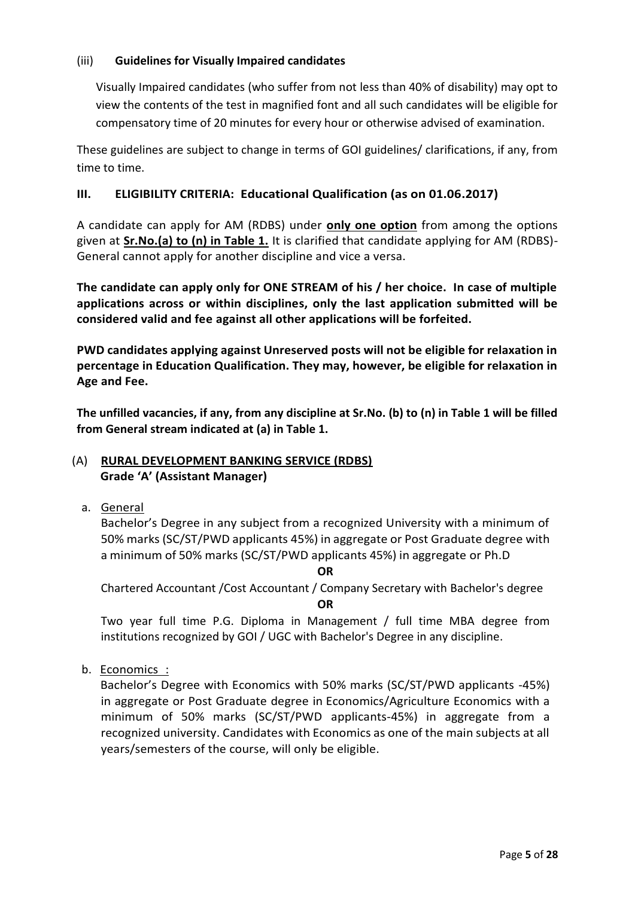#### (iii) **Guidelines for Visually Impaired candidates**

Visually Impaired candidates (who suffer from not less than 40% of disability) may opt to view the contents of the test in magnified font and all such candidates will be eligible for compensatory time of 20 minutes for every hour or otherwise advised of examination.

These guidelines are subject to change in terms of GOI guidelines/ clarifications, if any, from time to time.

### **III. ELIGIBILITY CRITERIA: Educational Qualification (as on 01.06.2017)**

A candidate can apply for AM (RDBS) under **only one option** from among the options given at **Sr.No.(a) to (n) in Table 1.** It is clarified that candidate applying for AM (RDBS)- General cannot apply for another discipline and vice a versa.

**The candidate can apply only for ONE STREAM of his / her choice. In case of multiple applications across or within disciplines, only the last application submitted will be considered valid and fee against all other applications will be forfeited.**

**PWD candidates applying against Unreserved posts will not be eligible for relaxation in percentage in Education Qualification. They may, however, be eligible for relaxation in Age and Fee.** 

**The unfilled vacancies, if any, from any discipline at Sr.No. (b) to (n) in Table 1 will be filled from General stream indicated at (a) in Table 1.**

#### (A) **RURAL DEVELOPMENT BANKING SERVICE (RDBS) Grade 'A' (Assistant Manager)**

a. General

Bachelor's Degree in any subject from a recognized University with a minimum of 50% marks (SC/ST/PWD applicants 45%) in aggregate or Post Graduate degree with a minimum of 50% marks (SC/ST/PWD applicants 45%) in aggregate or Ph.D

**OR**

Chartered Accountant /Cost Accountant / Company Secretary with Bachelor's degree **OR**

Two year full time P.G. Diploma in Management / full time MBA degree from institutions recognized by GOI / UGC with Bachelor's Degree in any discipline.

b. Economics :

Bachelor's Degree with Economics with 50% marks (SC/ST/PWD applicants -45%) in aggregate or Post Graduate degree in Economics/Agriculture Economics with a minimum of 50% marks (SC/ST/PWD applicants-45%) in aggregate from a recognized university. Candidates with Economics as one of the main subjects at all years/semesters of the course, will only be eligible.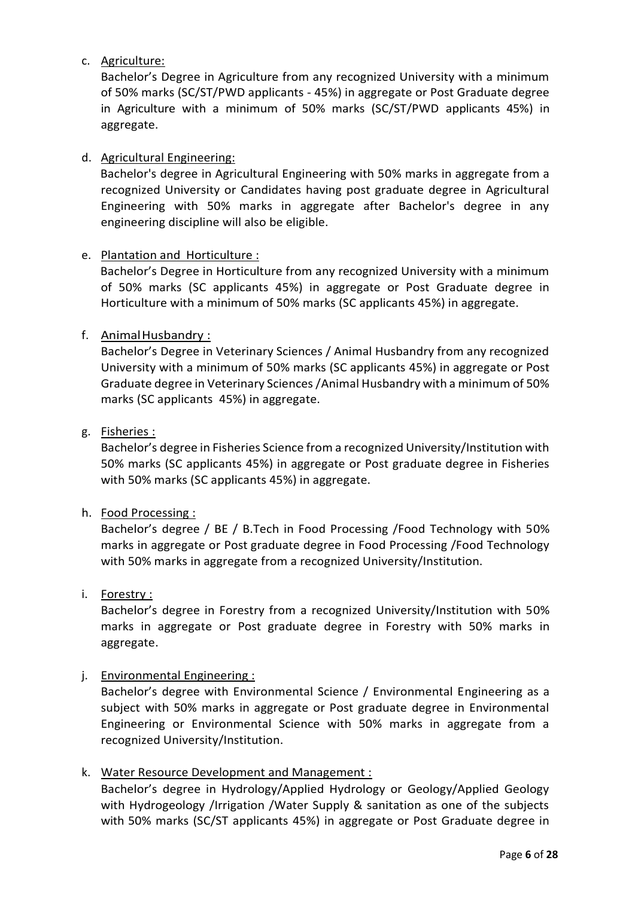### c. Agriculture:

Bachelor's Degree in Agriculture from any recognized University with a minimum of 50% marks (SC/ST/PWD applicants - 45%) in aggregate or Post Graduate degree in Agriculture with a minimum of 50% marks (SC/ST/PWD applicants 45%) in aggregate.

### d. Agricultural Engineering:

Bachelor's degree in Agricultural Engineering with 50% marks in aggregate from a recognized University or Candidates having post graduate degree in Agricultural Engineering with 50% marks in aggregate after Bachelor's degree in any engineering discipline will also be eligible.

### e. Plantation and Horticulture :

Bachelor's Degree in Horticulture from any recognized University with a minimum of 50% marks (SC applicants 45%) in aggregate or Post Graduate degree in Horticulture with a minimum of 50% marks (SC applicants 45%) in aggregate.

### f. AnimalHusbandry :

Bachelor's Degree in Veterinary Sciences / Animal Husbandry from any recognized University with a minimum of 50% marks (SC applicants 45%) in aggregate or Post Graduate degree in Veterinary Sciences /Animal Husbandry with a minimum of 50% marks (SC applicants 45%) in aggregate.

### g. Fisheries :

Bachelor's degree in Fisheries Science from a recognized University/Institution with 50% marks (SC applicants 45%) in aggregate or Post graduate degree in Fisheries with 50% marks (SC applicants 45%) in aggregate.

### h. Food Processing :

Bachelor's degree / BE / B.Tech in Food Processing /Food Technology with 50% marks in aggregate or Post graduate degree in Food Processing /Food Technology with 50% marks in aggregate from a recognized University/Institution.

### i. Forestry :

Bachelor's degree in Forestry from a recognized University/Institution with 50% marks in aggregate or Post graduate degree in Forestry with 50% marks in aggregate.

### j. Environmental Engineering :

Bachelor's degree with Environmental Science / Environmental Engineering as a subject with 50% marks in aggregate or Post graduate degree in Environmental Engineering or Environmental Science with 50% marks in aggregate from a recognized University/Institution.

### k. Water Resource Development and Management :

Bachelor's degree in Hydrology/Applied Hydrology or Geology/Applied Geology with Hydrogeology /Irrigation /Water Supply & sanitation as one of the subjects with 50% marks (SC/ST applicants 45%) in aggregate or Post Graduate degree in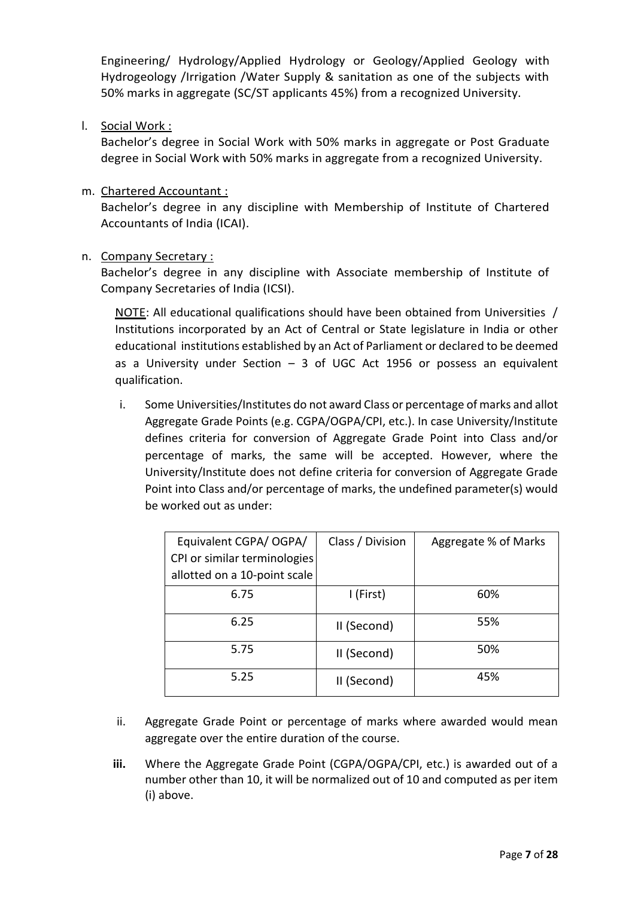Engineering/ Hydrology/Applied Hydrology or Geology/Applied Geology with Hydrogeology /Irrigation /Water Supply & sanitation as one of the subjects with 50% marks in aggregate (SC/ST applicants 45%) from a recognized University.

l. Social Work :

Bachelor's degree in Social Work with 50% marks in aggregate or Post Graduate degree in Social Work with 50% marks in aggregate from a recognized University.

m. Chartered Accountant :

Bachelor's degree in any discipline with Membership of Institute of Chartered Accountants of India (ICAI).

n. Company Secretary :

Bachelor's degree in any discipline with Associate membership of Institute of Company Secretaries of India (ICSI).

NOTE: All educational qualifications should have been obtained from Universities / Institutions incorporated by an Act of Central or State legislature in India or other educational institutions established by an Act of Parliament or declared to be deemed as a University under Section  $-3$  of UGC Act 1956 or possess an equivalent qualification.

i. Some Universities/Institutes do not award Class or percentage of marks and allot Aggregate Grade Points (e.g. CGPA/OGPA/CPI, etc.). In case University/Institute defines criteria for conversion of Aggregate Grade Point into Class and/or percentage of marks, the same will be accepted. However, where the University/Institute does not define criteria for conversion of Aggregate Grade Point into Class and/or percentage of marks, the undefined parameter(s) would be worked out as under:

| Equivalent CGPA/ OGPA/<br>CPI or similar terminologies<br>allotted on a 10-point scale | Class / Division | Aggregate % of Marks |
|----------------------------------------------------------------------------------------|------------------|----------------------|
| 6.75                                                                                   | I (First)        | 60%                  |
| 6.25                                                                                   | II (Second)      | 55%                  |
| 5.75                                                                                   | II (Second)      | 50%                  |
| 5.25                                                                                   | II (Second)      | 45%                  |

- ii. Aggregate Grade Point or percentage of marks where awarded would mean aggregate over the entire duration of the course.
- **iii.** Where the Aggregate Grade Point (CGPA/OGPA/CPI, etc.) is awarded out of a number other than 10, it will be normalized out of 10 and computed as per item (i) above.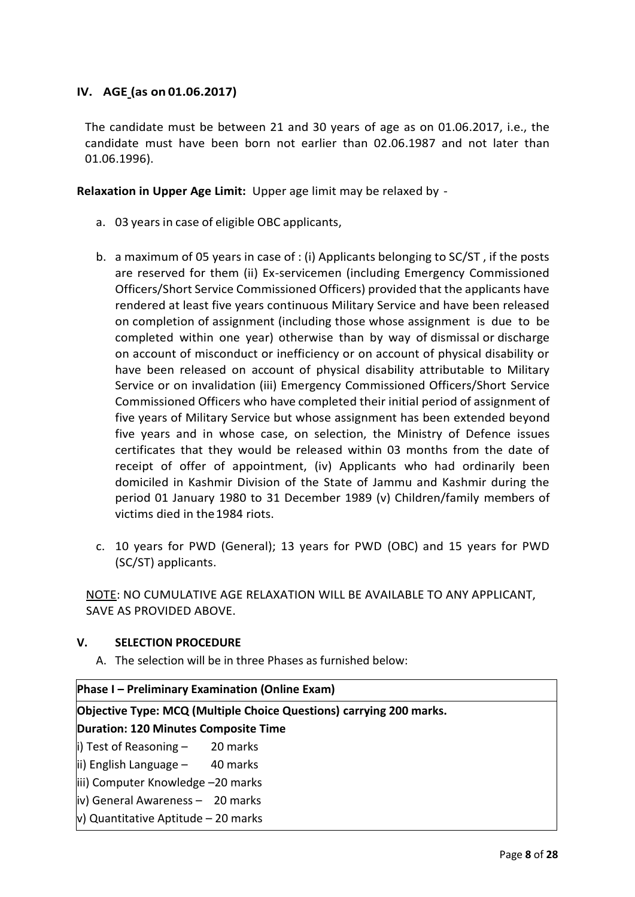### **IV. AGE (as on 01.06.2017)**

The candidate must be between 21 and 30 years of age as on 01.06.2017, i.e., the candidate must have been born not earlier than 02.06.1987 and not later than 01.06.1996).

**Relaxation in Upper Age Limit:** Upper age limit may be relaxed by -

- a. 03 years in case of eligible OBC applicants,
- b. a maximum of 05 years in case of : (i) Applicants belonging to SC/ST , if the posts are reserved for them (ii) Ex-servicemen (including Emergency Commissioned Officers/Short Service Commissioned Officers) provided that the applicants have rendered at least five years continuous Military Service and have been released on completion of assignment (including those whose assignment is due to be completed within one year) otherwise than by way of dismissal or discharge on account of misconduct or inefficiency or on account of physical disability or have been released on account of physical disability attributable to Military Service or on invalidation (iii) Emergency Commissioned Officers/Short Service Commissioned Officers who have completed their initial period of assignment of five years of Military Service but whose assignment has been extended beyond five years and in whose case, on selection, the Ministry of Defence issues certificates that they would be released within 03 months from the date of receipt of offer of appointment, (iv) Applicants who had ordinarily been domiciled in Kashmir Division of the State of Jammu and Kashmir during the period 01 January 1980 to 31 December 1989 (v) Children/family members of victims died in the1984 riots.
- c. 10 years for PWD (General); 13 years for PWD (OBC) and 15 years for PWD (SC/ST) applicants.

NOTE: NO CUMULATIVE AGE RELAXATION WILL BE AVAILABLE TO ANY APPLICANT, SAVE AS PROVIDED ABOVE.

#### **V. SELECTION PROCEDURE**

A. The selection will be in three Phases as furnished below:

| Phase I - Preliminary Examination (Online Exam)                     |  |  |  |
|---------------------------------------------------------------------|--|--|--|
| Objective Type: MCQ (Multiple Choice Questions) carrying 200 marks. |  |  |  |
| <b>Duration: 120 Minutes Composite Time</b>                         |  |  |  |
| $\vert$ i) Test of Reasoning - 20 marks                             |  |  |  |
| $\vert$ ii) English Language - 40 marks                             |  |  |  |
| iii) Computer Knowledge -20 marks                                   |  |  |  |
| iv) General Awareness - 20 marks                                    |  |  |  |
| $ v\rangle$ Quantitative Aptitude – 20 marks                        |  |  |  |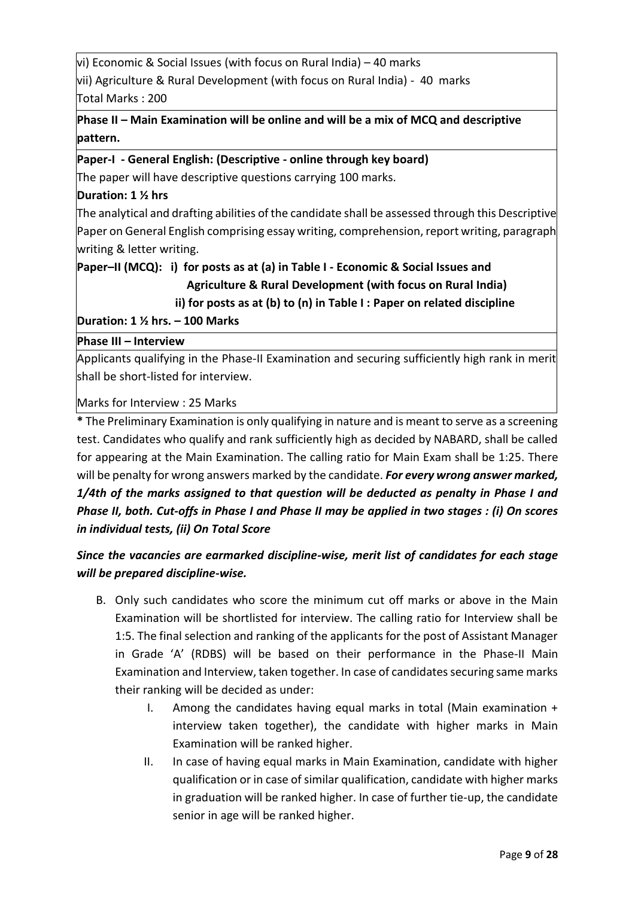vi) Economic & Social Issues (with focus on Rural India) – 40 marks vii) Agriculture & Rural Development (with focus on Rural India) - 40 marks Total Marks : 200

# **Phase II – Main Examination will be online and will be a mix of MCQ and descriptive pattern.**

**Paper-I - General English: (Descriptive - online through key board)** The paper will have descriptive questions carrying 100 marks.

### **Duration: 1 ½ hrs**

The analytical and drafting abilities of the candidate shall be assessed through this Descriptive Paper on General English comprising essay writing, comprehension, report writing, paragraph writing & letter writing.

# **Paper–II (MCQ): i) for posts as at (a) in Table I - Economic & Social Issues and Agriculture & Rural Development (with focus on Rural India)**

 **ii) for posts as at (b) to (n) in Table I : Paper on related discipline**

**Duration: 1 ½ hrs. – 100 Marks**

### **Phase III – Interview**

Applicants qualifying in the Phase-II Examination and securing sufficiently high rank in merit shall be short-listed for interview.

Marks for Interview : 25 Marks

**\*** The Preliminary Examination is only qualifying in nature and is meant to serve as a screening test. Candidates who qualify and rank sufficiently high as decided by NABARD, shall be called for appearing at the Main Examination. The calling ratio for Main Exam shall be 1:25. There will be penalty for wrong answers marked by the candidate. *For every wrong answer marked, 1/4th of the marks assigned to that question will be deducted as penalty in Phase I and Phase II, both. Cut-offs in Phase I and Phase II may be applied in two stages : (i) On scores in individual tests, (ii) On Total Score*

# *Since the vacancies are earmarked discipline-wise, merit list of candidates for each stage will be prepared discipline-wise.*

- B. Only such candidates who score the minimum cut off marks or above in the Main Examination will be shortlisted for interview. The calling ratio for Interview shall be 1:5. The final selection and ranking of the applicants for the post of Assistant Manager in Grade 'A' (RDBS) will be based on their performance in the Phase-II Main Examination and Interview, taken together. In case of candidates securing same marks their ranking will be decided as under:
	- I. Among the candidates having equal marks in total (Main examination + interview taken together), the candidate with higher marks in Main Examination will be ranked higher.
	- II. In case of having equal marks in Main Examination, candidate with higher qualification or in case of similar qualification, candidate with higher marks in graduation will be ranked higher. In case of further tie-up, the candidate senior in age will be ranked higher.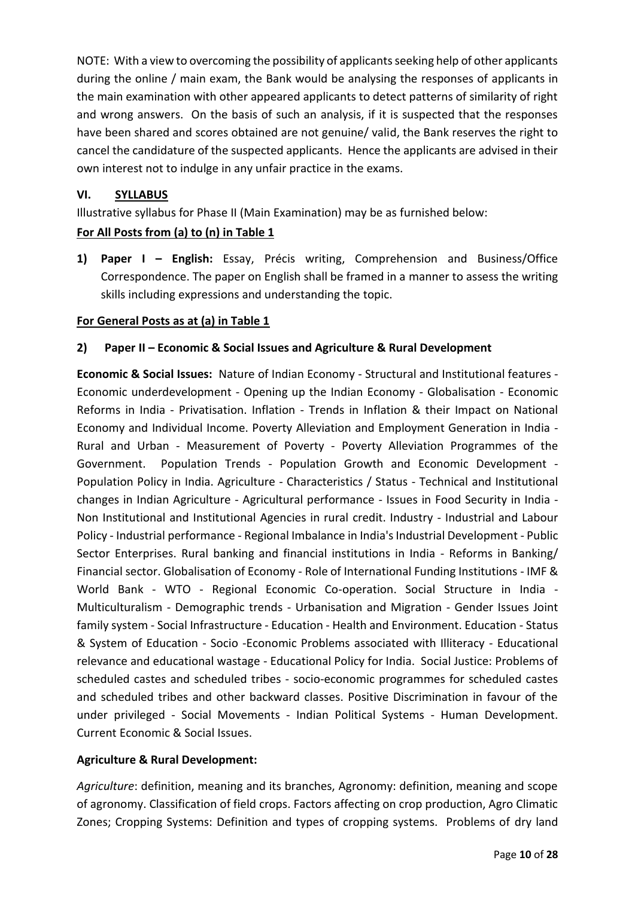NOTE: With a view to overcoming the possibility of applicants seeking help of other applicants during the online / main exam, the Bank would be analysing the responses of applicants in the main examination with other appeared applicants to detect patterns of similarity of right and wrong answers. On the basis of such an analysis, if it is suspected that the responses have been shared and scores obtained are not genuine/ valid, the Bank reserves the right to cancel the candidature of the suspected applicants. Hence the applicants are advised in their own interest not to indulge in any unfair practice in the exams.

#### **VI. SYLLABUS**

Illustrative syllabus for Phase II (Main Examination) may be as furnished below:

### **For All Posts from (a) to (n) in Table 1**

**1) Paper I – English:** Essay, Précis writing, Comprehension and Business/Office Correspondence. The paper on English shall be framed in a manner to assess the writing skills including expressions and understanding the topic.

#### **For General Posts as at (a) in Table 1**

#### **2) Paper II – Economic & Social Issues and Agriculture & Rural Development**

**Economic & Social Issues:** Nature of Indian Economy - Structural and Institutional features - Economic underdevelopment - Opening up the Indian Economy - Globalisation - Economic Reforms in India - Privatisation. Inflation - Trends in Inflation & their Impact on National Economy and Individual Income. Poverty Alleviation and Employment Generation in India - Rural and Urban - Measurement of Poverty - Poverty Alleviation Programmes of the Government. Population Trends - Population Growth and Economic Development - Population Policy in India. Agriculture - Characteristics / Status - Technical and Institutional changes in Indian Agriculture - Agricultural performance - Issues in Food Security in India - Non Institutional and Institutional Agencies in rural credit. Industry - Industrial and Labour Policy - Industrial performance - Regional Imbalance in India's Industrial Development - Public Sector Enterprises. Rural banking and financial institutions in India - Reforms in Banking/ Financial sector. Globalisation of Economy - Role of International Funding Institutions - IMF & World Bank - WTO - Regional Economic Co-operation. Social Structure in India - Multiculturalism - Demographic trends - Urbanisation and Migration - Gender Issues Joint family system - Social Infrastructure - Education - Health and Environment. Education - Status & System of Education - Socio -Economic Problems associated with Illiteracy - Educational relevance and educational wastage - Educational Policy for India. Social Justice: Problems of scheduled castes and scheduled tribes - socio-economic programmes for scheduled castes and scheduled tribes and other backward classes. Positive Discrimination in favour of the under privileged - Social Movements - Indian Political Systems - Human Development. Current Economic & Social Issues.

### **Agriculture & Rural Development:**

*Agriculture*: definition, meaning and its branches, Agronomy: definition, meaning and scope of agronomy. Classification of field crops. Factors affecting on crop production, Agro Climatic Zones; Cropping Systems: Definition and types of cropping systems. Problems of dry land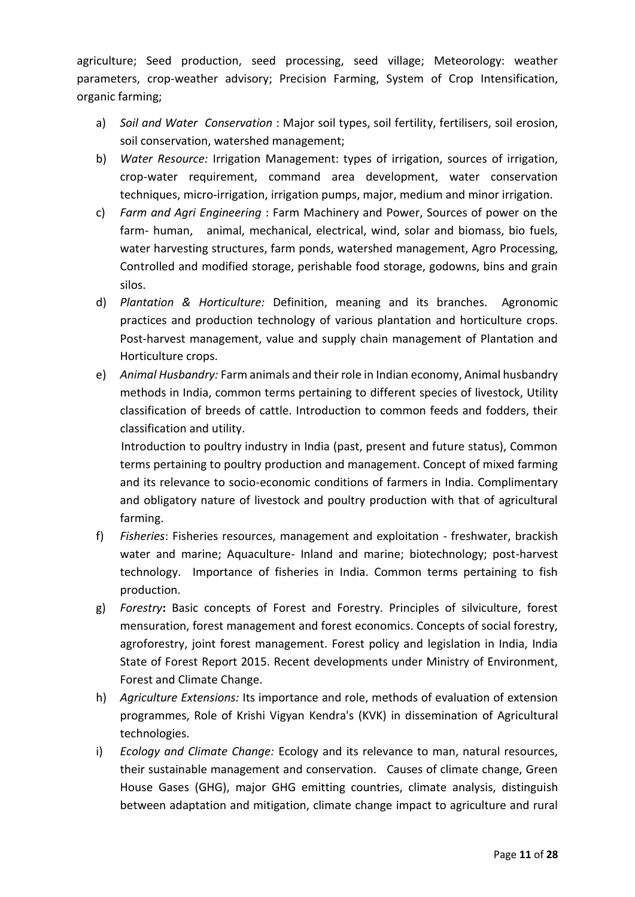agriculture; Seed production, seed processing, seed village; Meteorology: weather parameters, crop-weather advisory; Precision Farming, System of Crop Intensification, organic farming;

- a) *Soil and Water Conservation* : Major soil types, soil fertility, fertilisers, soil erosion, soil conservation, watershed management;
- b) *Water Resource:* Irrigation Management: types of irrigation, sources of irrigation, crop-water requirement, command area development, water conservation techniques, micro-irrigation, irrigation pumps, major, medium and minor irrigation.
- c) *Farm and Agri Engineering* : Farm Machinery and Power, Sources of power on the farm- human, animal, mechanical, electrical, wind, solar and biomass, bio fuels, water harvesting structures, farm ponds, watershed management, Agro Processing, Controlled and modified storage, perishable food storage, godowns, bins and grain silos.
- d) *Plantation & Horticulture:* Definition, meaning and its branches. Agronomic practices and production technology of various plantation and horticulture crops. Post-harvest management, value and supply chain management of Plantation and Horticulture crops.
- e) *Animal Husbandry:* Farm animals and their role in Indian economy, Animal husbandry methods in India, common terms pertaining to different species of livestock, Utility classification of breeds of cattle. Introduction to common feeds and fodders, their classification and utility.

 Introduction to poultry industry in India (past, present and future status), Common terms pertaining to poultry production and management. Concept of mixed farming and its relevance to socio-economic conditions of farmers in India. Complimentary and obligatory nature of livestock and poultry production with that of agricultural farming.

- f) *Fisheries*: Fisheries resources, management and exploitation freshwater, brackish water and marine; Aquaculture- Inland and marine; biotechnology; post-harvest technology. Importance of fisheries in India. Common terms pertaining to fish production.
- g) *Forestry***:** Basic concepts of Forest and Forestry. Principles of silviculture, forest mensuration, forest management and forest economics. Concepts of social forestry, agroforestry, joint forest management. Forest policy and legislation in India, India State of Forest Report 2015. Recent developments under Ministry of Environment, Forest and Climate Change.
- h) *Agriculture Extensions:* Its importance and role, methods of evaluation of extension programmes, Role of Krishi Vigyan Kendra's (KVK) in dissemination of Agricultural technologies.
- i) *Ecology and Climate Change:* Ecology and its relevance to man, natural resources, their sustainable management and conservation. Causes of climate change, Green House Gases (GHG), major GHG emitting countries, climate analysis, distinguish between adaptation and mitigation, climate change impact to agriculture and rural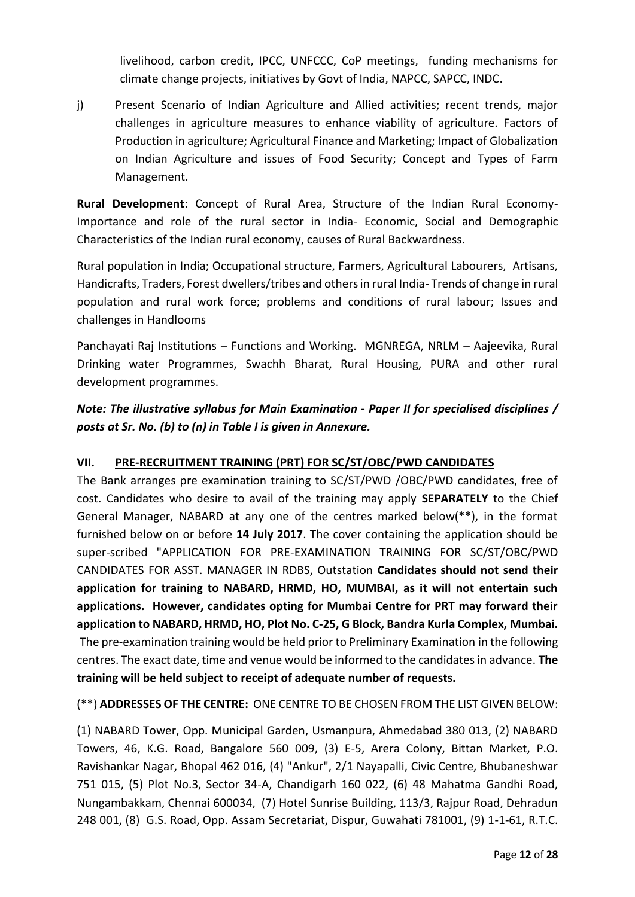livelihood, carbon credit, IPCC, UNFCCC, CoP meetings, funding mechanisms for climate change projects, initiatives by Govt of India, NAPCC, SAPCC, INDC.

j) Present Scenario of Indian Agriculture and Allied activities; recent trends, major challenges in agriculture measures to enhance viability of agriculture. Factors of Production in agriculture; Agricultural Finance and Marketing; Impact of Globalization on Indian Agriculture and issues of Food Security; Concept and Types of Farm Management.

**Rural Development**: Concept of Rural Area, Structure of the Indian Rural Economy-Importance and role of the rural sector in India- Economic, Social and Demographic Characteristics of the Indian rural economy, causes of Rural Backwardness.

Rural population in India; Occupational structure, Farmers, Agricultural Labourers, Artisans, Handicrafts, Traders, Forest dwellers/tribes and others in rural India- Trends of change in rural population and rural work force; problems and conditions of rural labour; Issues and challenges in Handlooms

Panchayati Raj Institutions – Functions and Working. MGNREGA, NRLM – Aajeevika, Rural Drinking water Programmes, Swachh Bharat, Rural Housing, PURA and other rural development programmes.

# *Note: The illustrative syllabus for Main Examination - Paper II for specialised disciplines / posts at Sr. No. (b) to (n) in Table I is given in Annexure.*

### **VII. PRE-RECRUITMENT TRAINING (PRT) FOR SC/ST/OBC/PWD CANDIDATES**

The Bank arranges pre examination training to SC/ST/PWD /OBC/PWD candidates, free of cost. Candidates who desire to avail of the training may apply **SEPARATELY** to the Chief General Manager, NABARD at any one of the centres marked below(\*\*), in the format furnished below on or before **14 July 2017**. The cover containing the application should be super-scribed "APPLICATION FOR PRE-EXAMINATION TRAINING FOR SC/ST/OBC/PWD CANDIDATES FOR ASST. MANAGER IN RDBS, Outstation **Candidates should not send their application for training to NABARD, HRMD, HO, MUMBAI, as it will not entertain such applications. However, candidates opting for Mumbai Centre for PRT may forward their application to NABARD, HRMD, HO, Plot No. C-25, G Block, Bandra Kurla Complex, Mumbai.** The pre-examination training would be held prior to Preliminary Examination in the following centres. The exact date, time and venue would be informed to the candidates in advance. **The training will be held subject to receipt of adequate number of requests.**

### (\*\*) **ADDRESSES OF THE CENTRE:** ONE CENTRE TO BE CHOSEN FROM THE LIST GIVEN BELOW:

(1) NABARD Tower, Opp. Municipal Garden, Usmanpura, Ahmedabad 380 013, (2) NABARD Towers, 46, K.G. Road, Bangalore 560 009, (3) E-5, Arera Colony, Bittan Market, P.O. Ravishankar Nagar, Bhopal 462 016, (4) "Ankur", 2/1 Nayapalli, Civic Centre, Bhubaneshwar 751 015, (5) Plot No.3, Sector 34-A, Chandigarh 160 022, (6) 48 Mahatma Gandhi Road, Nungambakkam, Chennai 600034, (7) Hotel Sunrise Building, 113/3, Rajpur Road, Dehradun 248 001, (8) G.S. Road, Opp. Assam Secretariat, Dispur, Guwahati 781001, (9) 1-1-61, R.T.C.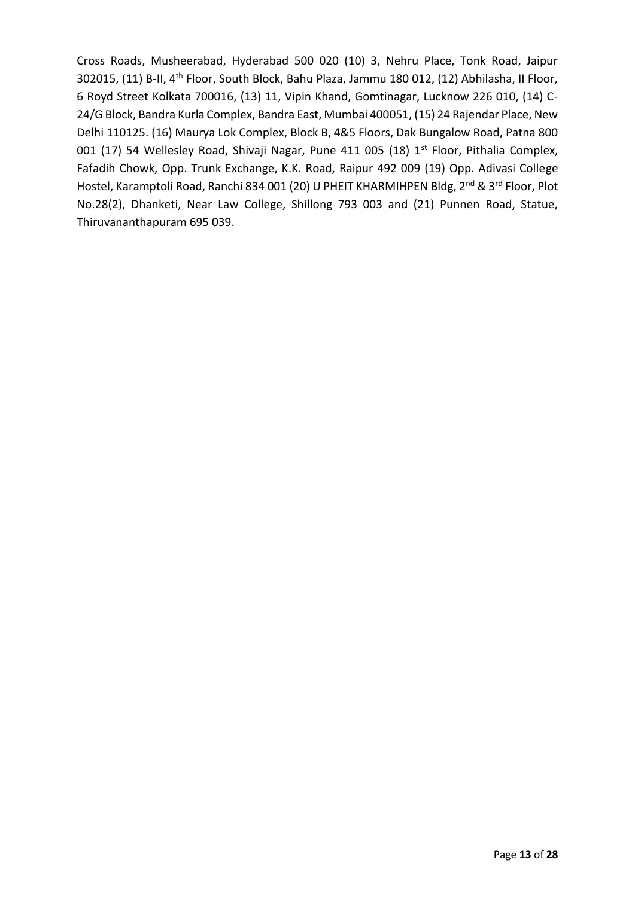Cross Roads, Musheerabad, Hyderabad 500 020 (10) 3, Nehru Place, Tonk Road, Jaipur 302015, (11) B-II, 4th Floor, South Block, Bahu Plaza, Jammu 180 012, (12) Abhilasha, II Floor, 6 Royd Street Kolkata 700016, (13) 11, Vipin Khand, Gomtinagar, Lucknow 226 010, (14) C-24/G Block, Bandra Kurla Complex, Bandra East, Mumbai 400051, (15) 24 Rajendar Place, New Delhi 110125. (16) Maurya Lok Complex, Block B, 4&5 Floors, Dak Bungalow Road, Patna 800 001 (17) 54 Wellesley Road, Shivaji Nagar, Pune 411 005 (18) 1<sup>st</sup> Floor, Pithalia Complex, Fafadih Chowk, Opp. Trunk Exchange, K.K. Road, Raipur 492 009 (19) Opp. Adivasi College Hostel, Karamptoli Road, Ranchi 834 001 (20) U PHEIT KHARMIHPEN Bldg, 2<sup>nd</sup> & 3<sup>rd</sup> Floor, Plot No.28(2), Dhanketi, Near Law College, Shillong 793 003 and (21) Punnen Road, Statue, Thiruvananthapuram 695 039.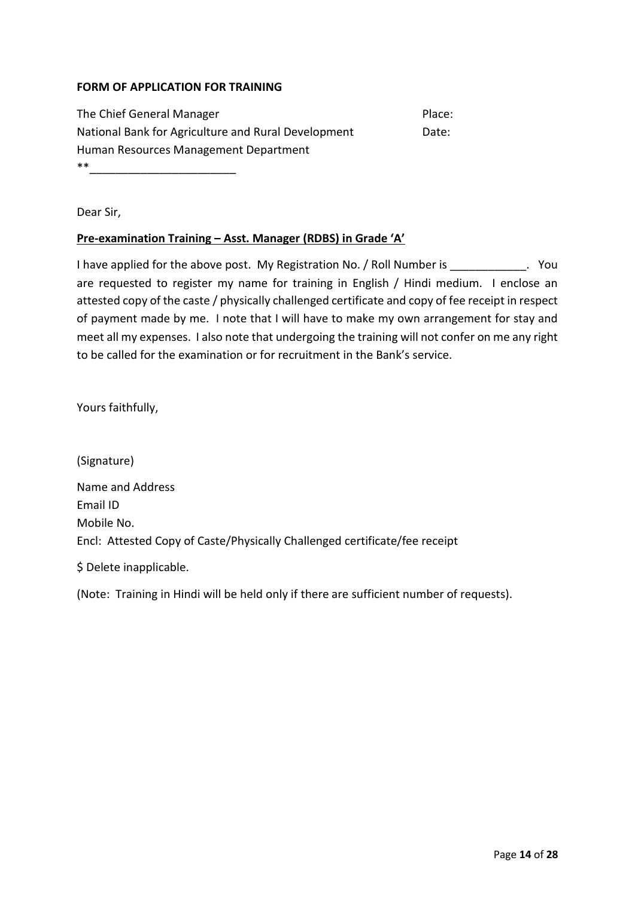#### **FORM OF APPLICATION FOR TRAINING**

| The Chief General Manager                           | Place: |
|-----------------------------------------------------|--------|
| National Bank for Agriculture and Rural Development | Date:  |
| Human Resources Management Department               |        |

\*\*\_\_\_\_\_\_\_\_\_\_\_\_\_\_\_\_\_\_\_\_\_\_\_

Dear Sir,

#### **Pre-examination Training – Asst. Manager (RDBS) in Grade 'A'**

I have applied for the above post. My Registration No. / Roll Number is  $\blacksquare$ are requested to register my name for training in English / Hindi medium. I enclose an attested copy of the caste / physically challenged certificate and copy of fee receipt in respect of payment made by me. I note that I will have to make my own arrangement for stay and meet all my expenses. I also note that undergoing the training will not confer on me any right to be called for the examination or for recruitment in the Bank's service.

Yours faithfully,

(Signature) Name and Address Email ID Mobile No. Encl: Attested Copy of Caste/Physically Challenged certificate/fee receipt

\$ Delete inapplicable.

(Note: Training in Hindi will be held only if there are sufficient number of requests).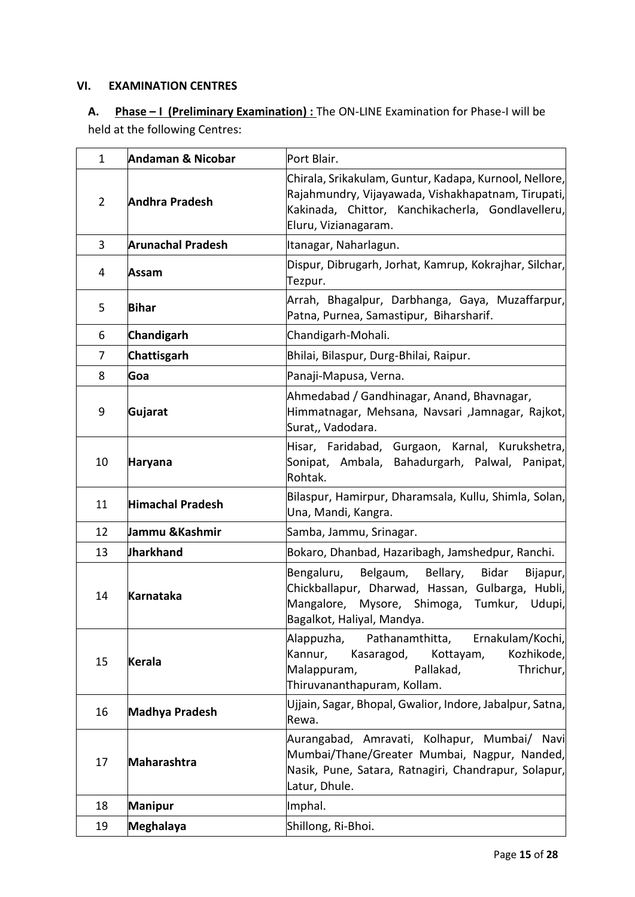#### **VI. EXAMINATION CENTRES**

# **A. Phase – I (Preliminary Examination) :** The ON-LINE Examination for Phase-I will be held at the following Centres:

| $\mathbf{1}$   | Andaman & Nicobar        | Port Blair.                                                                                                                                                                                    |  |
|----------------|--------------------------|------------------------------------------------------------------------------------------------------------------------------------------------------------------------------------------------|--|
| $\overline{2}$ | <b>Andhra Pradesh</b>    | Chirala, Srikakulam, Guntur, Kadapa, Kurnool, Nellore,<br>Rajahmundry, Vijayawada, Vishakhapatnam, Tirupati,<br>Kakinada, Chittor, Kanchikacherla, Gondlavelleru,<br>Eluru, Vizianagaram.      |  |
| 3              | <b>Arunachal Pradesh</b> | Itanagar, Naharlagun.                                                                                                                                                                          |  |
| 4              | Assam                    | Dispur, Dibrugarh, Jorhat, Kamrup, Kokrajhar, Silchar,<br>Tezpur.                                                                                                                              |  |
| 5              | <b>Bihar</b>             | Arrah, Bhagalpur, Darbhanga, Gaya, Muzaffarpur,<br>Patna, Purnea, Samastipur, Biharsharif.                                                                                                     |  |
| 6              | Chandigarh               | Chandigarh-Mohali.                                                                                                                                                                             |  |
| 7              | <b>Chattisgarh</b>       | Bhilai, Bilaspur, Durg-Bhilai, Raipur.                                                                                                                                                         |  |
| 8              | Goa                      | Panaji-Mapusa, Verna.                                                                                                                                                                          |  |
| 9              | Gujarat                  | Ahmedabad / Gandhinagar, Anand, Bhavnagar,<br>Himmatnagar, Mehsana, Navsari ,Jamnagar, Rajkot,<br>Surat,, Vadodara.                                                                            |  |
| 10             | <b>Haryana</b>           | Hisar, Faridabad, Gurgaon, Karnal, Kurukshetra,<br>Sonipat, Ambala, Bahadurgarh, Palwal,<br>Panipat,<br>Rohtak.                                                                                |  |
| 11             | Himachal Pradesh         | Bilaspur, Hamirpur, Dharamsala, Kullu, Shimla, Solan,<br>Una, Mandi, Kangra.                                                                                                                   |  |
| 12             | Jammu &Kashmir           | Samba, Jammu, Srinagar.                                                                                                                                                                        |  |
| 13             | <b>Jharkhand</b>         | Bokaro, Dhanbad, Hazaribagh, Jamshedpur, Ranchi.                                                                                                                                               |  |
| 14             | <b>Karnataka</b>         | Belgaum, Bellary,<br><b>Bidar</b><br>Bengaluru,<br>Bijapur,<br>Chickballapur, Dharwad, Hassan, Gulbarga, Hubli,<br>Mangalore, Mysore, Shimoga, Tumkur,<br>Udupi,<br>Bagalkot, Haliyal, Mandya. |  |
| 15             | <b>Kerala</b>            | Alappuzha, Pathanamthitta, Ernakulam/Kochi,<br>Kannur,<br>Kasaragod,<br>Kottayam,<br>Kozhikode,<br>Malappuram,<br>Pallakad,<br>Thrichur,<br>Thiruvananthapuram, Kollam.                        |  |
| 16             | Madhya Pradesh           | Ujjain, Sagar, Bhopal, Gwalior, Indore, Jabalpur, Satna,<br>Rewa.                                                                                                                              |  |
| 17             | Maharashtra              | Aurangabad, Amravati, Kolhapur, Mumbai/ Navi<br>Mumbai/Thane/Greater Mumbai, Nagpur, Nanded,<br>Nasik, Pune, Satara, Ratnagiri, Chandrapur, Solapur,<br>Latur, Dhule.                          |  |
| 18             | <b>Manipur</b>           | Imphal.                                                                                                                                                                                        |  |
| 19             | Meghalaya                | Shillong, Ri-Bhoi.                                                                                                                                                                             |  |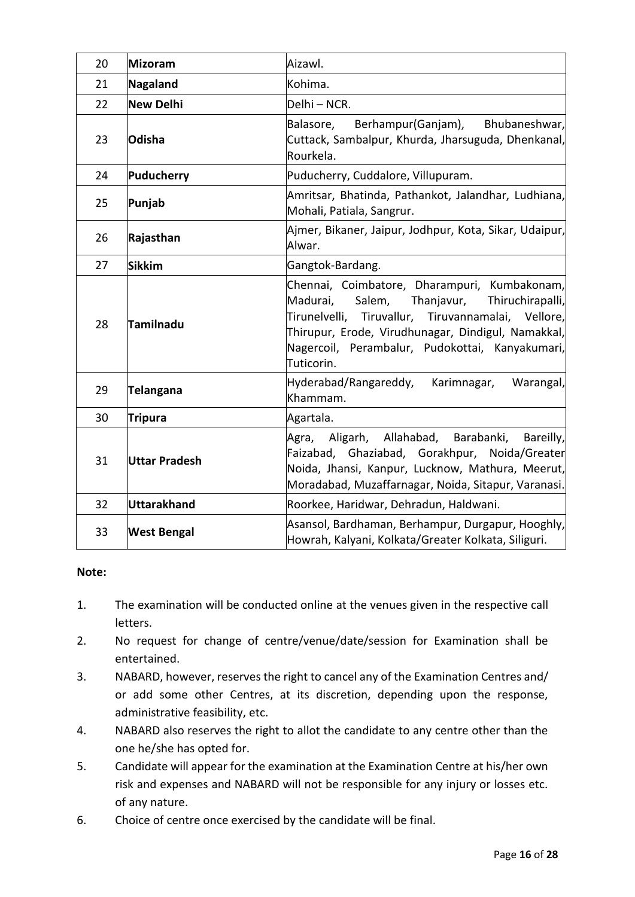| 20 | Mizoram            | Aizawl.                                                                                                                                                                                                                                                                     |  |
|----|--------------------|-----------------------------------------------------------------------------------------------------------------------------------------------------------------------------------------------------------------------------------------------------------------------------|--|
| 21 | Nagaland           | Kohima.                                                                                                                                                                                                                                                                     |  |
| 22 | <b>New Delhi</b>   | Delhi – NCR.                                                                                                                                                                                                                                                                |  |
| 23 | Odisha             | Berhampur (Ganjam),<br>Bhubaneshwar,<br>Balasore,<br>Cuttack, Sambalpur, Khurda, Jharsuguda, Dhenkanal,<br>Rourkela.                                                                                                                                                        |  |
| 24 | Puducherry         | Puducherry, Cuddalore, Villupuram.                                                                                                                                                                                                                                          |  |
| 25 | Punjab             | Amritsar, Bhatinda, Pathankot, Jalandhar, Ludhiana,<br>Mohali, Patiala, Sangrur.                                                                                                                                                                                            |  |
| 26 | Rajasthan          | Ajmer, Bikaner, Jaipur, Jodhpur, Kota, Sikar, Udaipur,<br>Alwar.                                                                                                                                                                                                            |  |
| 27 | <b>Sikkim</b>      | Gangtok-Bardang.                                                                                                                                                                                                                                                            |  |
| 28 | Tamilnadu          | Chennai, Coimbatore, Dharampuri, Kumbakonam,<br>Salem, Thanjavur, Thiruchirapalli,<br>Madurai,<br>Tirunelvelli, Tiruvallur, Tiruvannamalai, Vellore,<br>Thirupur, Erode, Virudhunagar, Dindigul, Namakkal,<br>Nagercoil, Perambalur, Pudokottai, Kanyakumari,<br>Tuticorin. |  |
| 29 | <b>Telangana</b>   | Hyderabad/Rangareddy,<br>Karimnagar,<br>Warangal,<br>Khammam.                                                                                                                                                                                                               |  |
| 30 | <b>Tripura</b>     | Agartala.                                                                                                                                                                                                                                                                   |  |
| 31 | Uttar Pradesh      | Aligarh, Allahabad, Barabanki,<br>Bareilly,<br>Agra,<br>Faizabad, Ghaziabad, Gorakhpur, Noida/Greater<br>Noida, Jhansi, Kanpur, Lucknow, Mathura, Meerut,<br>Moradabad, Muzaffarnagar, Noida, Sitapur, Varanasi.                                                            |  |
| 32 | Uttarakhand        | Roorkee, Haridwar, Dehradun, Haldwani.                                                                                                                                                                                                                                      |  |
| 33 | <b>West Bengal</b> | Asansol, Bardhaman, Berhampur, Durgapur, Hooghly,<br>Howrah, Kalyani, Kolkata/Greater Kolkata, Siliguri.                                                                                                                                                                    |  |

#### **Note:**

- 1. The examination will be conducted online at the venues given in the respective call letters.
- 2. No request for change of centre/venue/date/session for Examination shall be entertained.
- 3. NABARD, however, reserves the right to cancel any of the Examination Centres and/ or add some other Centres, at its discretion, depending upon the response, administrative feasibility, etc.
- 4. NABARD also reserves the right to allot the candidate to any centre other than the one he/she has opted for.
- 5. Candidate will appear for the examination at the Examination Centre at his/her own risk and expenses and NABARD will not be responsible for any injury or losses etc. of any nature.
- 6. Choice of centre once exercised by the candidate will be final.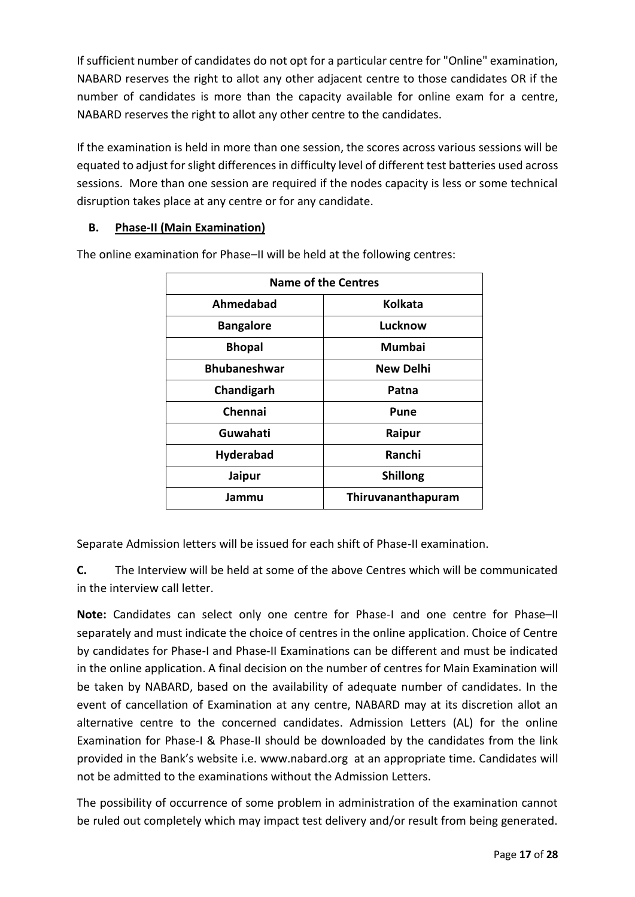If sufficient number of candidates do not opt for a particular centre for "Online" examination, NABARD reserves the right to allot any other adjacent centre to those candidates OR if the number of candidates is more than the capacity available for online exam for a centre, NABARD reserves the right to allot any other centre to the candidates.

If the examination is held in more than one session, the scores across various sessions will be equated to adjust for slight differences in difficulty level of different test batteries used across sessions. More than one session are required if the nodes capacity is less or some technical disruption takes place at any centre or for any candidate.

### **B. Phase-II (Main Examination)**

| <b>Name of the Centres</b> |                    |  |
|----------------------------|--------------------|--|
| Ahmedabad                  | Kolkata            |  |
| <b>Bangalore</b>           | Lucknow            |  |
| <b>Bhopal</b>              | Mumbai             |  |
| <b>Bhubaneshwar</b>        | <b>New Delhi</b>   |  |
| Chandigarh                 | Patna              |  |
| Chennai                    | Pune               |  |
| Guwahati                   | Raipur             |  |
| <b>Hyderabad</b>           | Ranchi             |  |
| Jaipur                     | <b>Shillong</b>    |  |
| Jammu                      | Thiruvananthapuram |  |

The online examination for Phase–II will be held at the following centres:

Separate Admission letters will be issued for each shift of Phase-II examination.

**C.** The Interview will be held at some of the above Centres which will be communicated in the interview call letter.

**Note:** Candidates can select only one centre for Phase-I and one centre for Phase–II separately and must indicate the choice of centres in the online application. Choice of Centre by candidates for Phase-I and Phase-II Examinations can be different and must be indicated in the online application. A final decision on the number of centres for Main Examination will be taken by NABARD, based on the availability of adequate number of candidates. In the event of cancellation of Examination at any centre, NABARD may at its discretion allot an alternative centre to the concerned candidates. Admission Letters (AL) for the online Examination for Phase-I & Phase-II should be downloaded by the candidates from the link provided in the Bank's website i.e. [www.nabard.org](http://www.nabard.org/) at an appropriate time. Candidates will not be admitted to the examinations without the Admission Letters.

The possibility of occurrence of some problem in administration of the examination cannot be ruled out completely which may impact test delivery and/or result from being generated.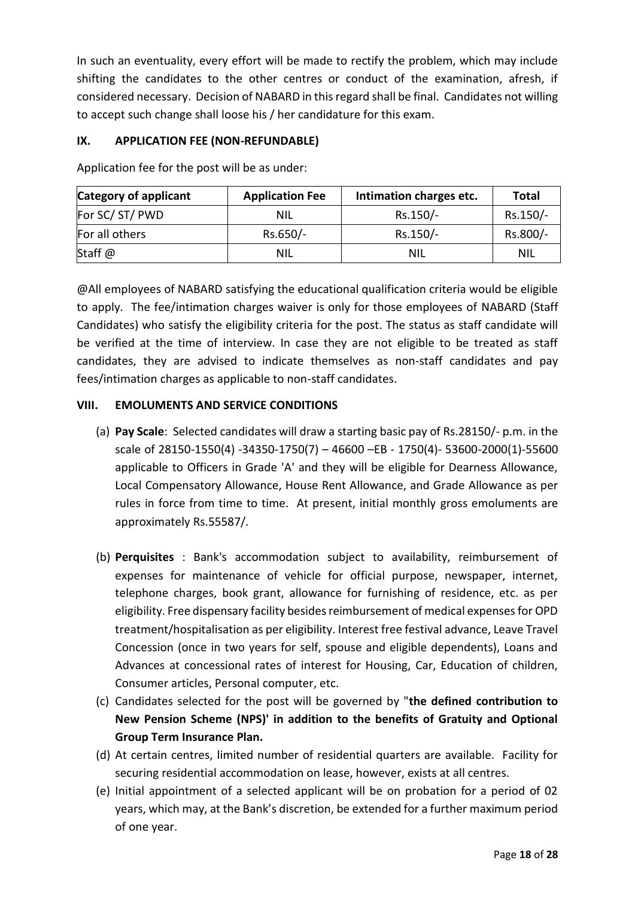In such an eventuality, every effort will be made to rectify the problem, which may include shifting the candidates to the other centres or conduct of the examination, afresh, if considered necessary. Decision of NABARD in this regard shall be final. Candidates not willing to accept such change shall loose his / her candidature for this exam.

### **IX. APPLICATION FEE (NON-REFUNDABLE)**

| Category of applicant | <b>Application Fee</b> | Intimation charges etc. | <b>Total</b> |
|-----------------------|------------------------|-------------------------|--------------|
| For SC/ST/PWD         | NIL                    | Rs.150/-                | Rs.150/-     |
| For all others        | Rs.650/-               | Rs.150/-                | Rs.800/-     |
| Staff @               | <b>NIL</b>             | NIL                     | NIL          |

Application fee for the post will be as under:

@All employees of NABARD satisfying the educational qualification criteria would be eligible to apply. The fee/intimation charges waiver is only for those employees of NABARD (Staff Candidates) who satisfy the eligibility criteria for the post. The status as staff candidate will be verified at the time of interview. In case they are not eligible to be treated as staff candidates, they are advised to indicate themselves as non-staff candidates and pay fees/intimation charges as applicable to non-staff candidates.

#### **VIII. EMOLUMENTS AND SERVICE CONDITIONS**

- (a) **Pay Scale**: Selected candidates will draw a starting basic pay of Rs.28150/- p.m. in the scale of 28150-1550(4) -34350-1750(7) – 46600 –EB - 1750(4)- 53600-2000(1)-55600 applicable to Officers in Grade 'A' and they will be eligible for Dearness Allowance, Local Compensatory Allowance, House Rent Allowance, and Grade Allowance as per rules in force from time to time. At present, initial monthly gross emoluments are approximately Rs.55587/.
- (b) **Perquisites** : Bank's accommodation subject to availability, reimbursement of expenses for maintenance of vehicle for official purpose, newspaper, internet, telephone charges, book grant, allowance for furnishing of residence, etc. as per eligibility. Free dispensary facility besides reimbursement of medical expenses for OPD treatment/hospitalisation as per eligibility. Interest free festival advance, Leave Travel Concession (once in two years for self, spouse and eligible dependents), Loans and Advances at concessional rates of interest for Housing, Car, Education of children, Consumer articles, Personal computer, etc.
- (c) Candidates selected for the post will be governed by "**the defined contribution to New Pension Scheme (NPS)' in addition to the benefits of Gratuity and Optional Group Term Insurance Plan.**
- (d) At certain centres, limited number of residential quarters are available. Facility for securing residential accommodation on lease, however, exists at all centres.
- (e) Initial appointment of a selected applicant will be on probation for a period of 02 years, which may, at the Bank's discretion, be extended for a further maximum period of one year.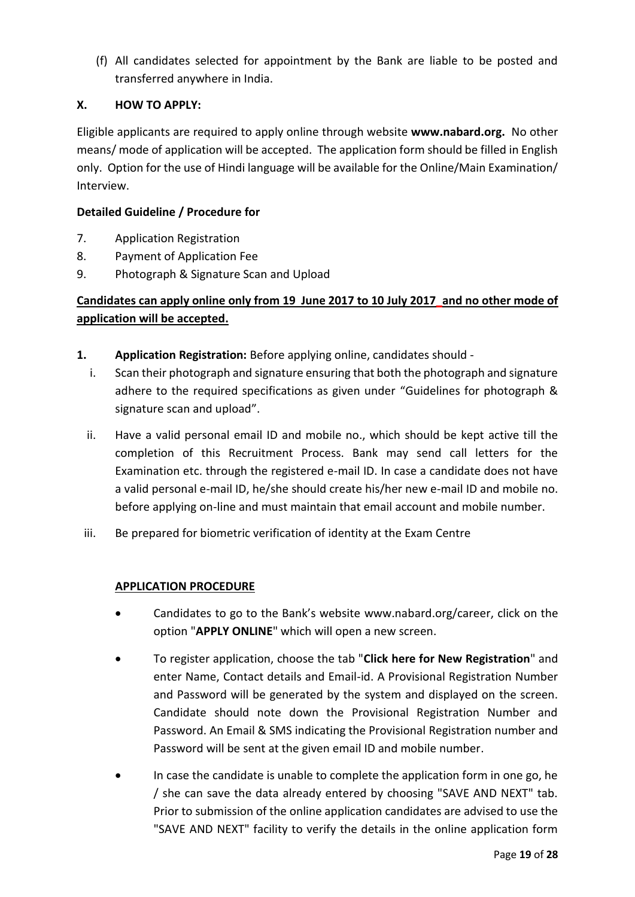(f) All candidates selected for appointment by the Bank are liable to be posted and transferred anywhere in India.

### **X. HOW TO APPLY:**

Eligible applicants are required to apply online through website **www.nabard.org.** No other means/ mode of application will be accepted. The application form should be filled in English only. Option for the use of Hindi language will be available for the Online/Main Examination/ Interview.

### **Detailed Guideline / Procedure for**

- 7. Application Registration
- 8. Payment of Application Fee
- 9. Photograph & Signature Scan and Upload

# **Candidates can apply online only from 19 June 2017 to 10 July 2017\_and no other mode of application will be accepted.**

- **1. Application Registration:** Before applying online, candidates should
	- i. Scan their photograph and signature ensuring that both the photograph and signature adhere to the required specifications as given under "Guidelines for photograph & signature scan and upload".
	- ii. Have a valid personal email ID and mobile no., which should be kept active till the completion of this Recruitment Process. Bank may send call letters for the Examination etc. through the registered e-mail ID. In case a candidate does not have a valid personal e-mail ID, he/she should create his/her new e-mail ID and mobile no. before applying on-line and must maintain that email account and mobile number.
	- iii. Be prepared for biometric verification of identity at the Exam Centre

### **APPLICATION PROCEDURE**

- Candidates to go to the Bank's website [www.nabard.org/](http://www.nabard.org/)career, click on the option "**APPLY ONLINE**" which will open a new screen.
- To register application, choose the tab "**Click here for New Registration**" and enter Name, Contact details and Email-id. A Provisional Registration Number and Password will be generated by the system and displayed on the screen. Candidate should note down the Provisional Registration Number and Password. An Email & SMS indicating the Provisional Registration number and Password will be sent at the given email ID and mobile number.
- In case the candidate is unable to complete the application form in one go, he / she can save the data already entered by choosing "SAVE AND NEXT" tab. Prior to submission of the online application candidates are advised to use the "SAVE AND NEXT" facility to verify the details in the online application form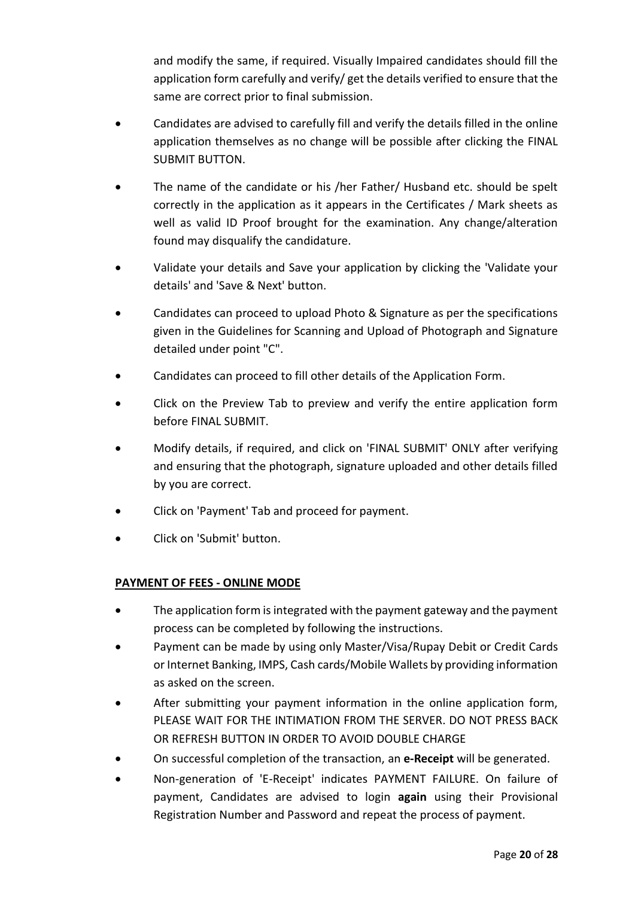and modify the same, if required. Visually Impaired candidates should fill the application form carefully and verify/ get the details verified to ensure that the same are correct prior to final submission.

- Candidates are advised to carefully fill and verify the details filled in the online application themselves as no change will be possible after clicking the FINAL SUBMIT BUTTON.
- The name of the candidate or his /her Father/ Husband etc. should be spelt correctly in the application as it appears in the Certificates / Mark sheets as well as valid ID Proof brought for the examination. Any change/alteration found may disqualify the candidature.
- Validate your details and Save your application by clicking the 'Validate your details' and 'Save & Next' button.
- Candidates can proceed to upload Photo & Signature as per the specifications given in the Guidelines for Scanning and Upload of Photograph and Signature detailed under point "C".
- Candidates can proceed to fill other details of the Application Form.
- Click on the Preview Tab to preview and verify the entire application form before FINAL SUBMIT.
- Modify details, if required, and click on 'FINAL SUBMIT' ONLY after verifying and ensuring that the photograph, signature uploaded and other details filled by you are correct.
- Click on 'Payment' Tab and proceed for payment.
- Click on 'Submit' button.

#### **PAYMENT OF FEES - ONLINE MODE**

- The application form is integrated with the payment gateway and the payment process can be completed by following the instructions.
- Payment can be made by using only Master/Visa/Rupay Debit or Credit Cards or Internet Banking, IMPS, Cash cards/Mobile Wallets by providing information as asked on the screen.
- After submitting your payment information in the online application form, PLEASE WAIT FOR THE INTIMATION FROM THE SERVER. DO NOT PRESS BACK OR REFRESH BUTTON IN ORDER TO AVOID DOUBLE CHARGE
- On successful completion of the transaction, an **e-Receipt** will be generated.
- Non-generation of 'E-Receipt' indicates PAYMENT FAILURE. On failure of payment, Candidates are advised to login **again** using their Provisional Registration Number and Password and repeat the process of payment.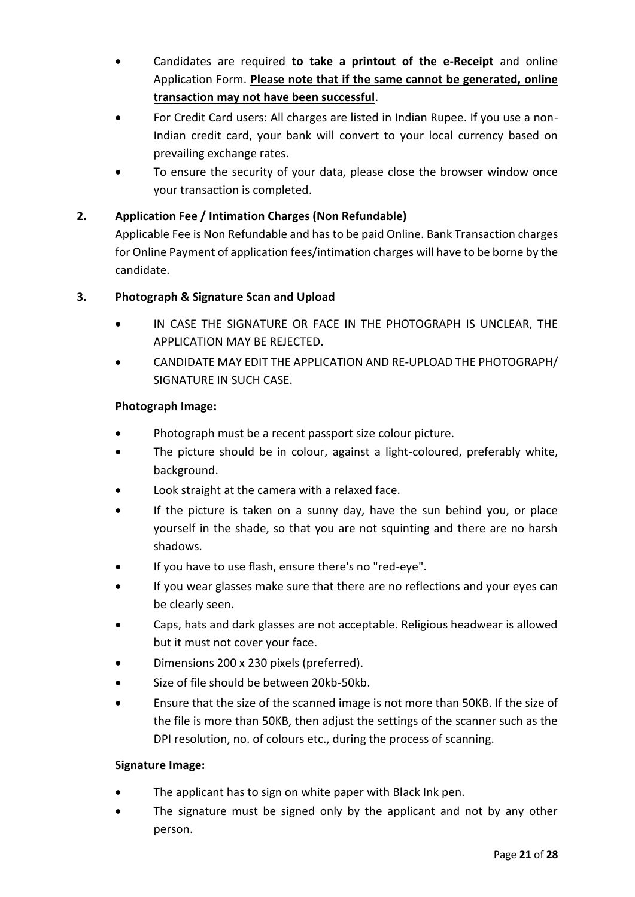- Candidates are required **to take a printout of the e-Receipt** and online Application Form. **Please note that if the same cannot be generated, online transaction may not have been successful**.
- For Credit Card users: All charges are listed in Indian Rupee. If you use a non-Indian credit card, your bank will convert to your local currency based on prevailing exchange rates.
- To ensure the security of your data, please close the browser window once your transaction is completed.

### **2. Application Fee / Intimation Charges (Non Refundable)**

Applicable Fee is Non Refundable and has to be paid Online. Bank Transaction charges for Online Payment of application fees/intimation charges will have to be borne by the candidate.

### **3. Photograph & Signature Scan and Upload**

- IN CASE THE SIGNATURE OR FACE IN THE PHOTOGRAPH IS UNCLEAR, THE APPLICATION MAY BE REJECTED.
- CANDIDATE MAY EDIT THE APPLICATION AND RE-UPLOAD THE PHOTOGRAPH/ SIGNATURE IN SUCH CASE.

#### **Photograph Image:**

- Photograph must be a recent passport size colour picture.
- The picture should be in colour, against a light-coloured, preferably white, background.
- Look straight at the camera with a relaxed face.
- If the picture is taken on a sunny day, have the sun behind you, or place yourself in the shade, so that you are not squinting and there are no harsh shadows.
- If you have to use flash, ensure there's no "red-eye".
- If you wear glasses make sure that there are no reflections and your eyes can be clearly seen.
- Caps, hats and dark glasses are not acceptable. Religious headwear is allowed but it must not cover your face.
- Dimensions 200 x 230 pixels (preferred).
- Size of file should be between 20kb-50kb.
- Ensure that the size of the scanned image is not more than 50KB. If the size of the file is more than 50KB, then adjust the settings of the scanner such as the DPI resolution, no. of colours etc., during the process of scanning.

#### **Signature Image:**

- The applicant has to sign on white paper with Black Ink pen.
- The signature must be signed only by the applicant and not by any other person.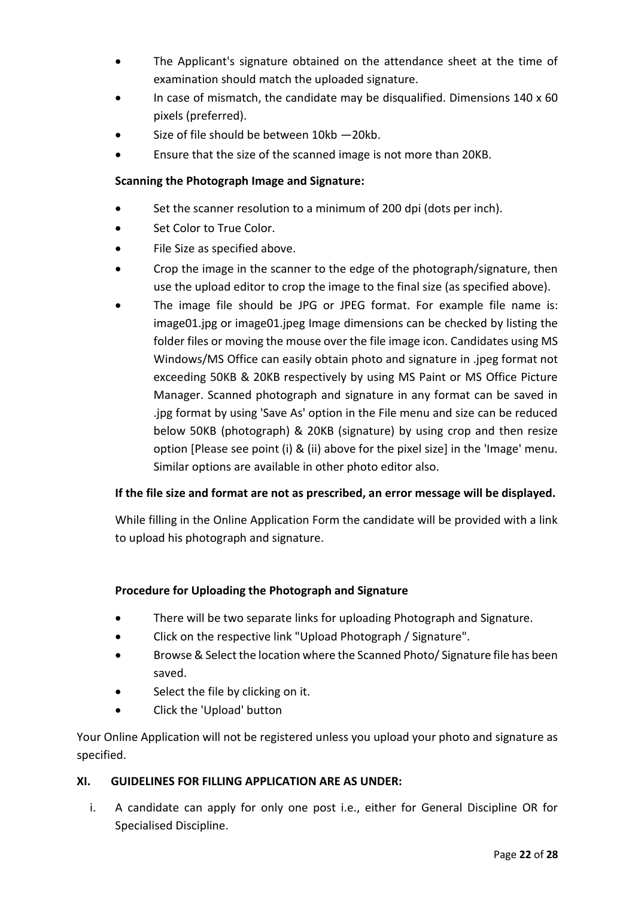- The Applicant's signature obtained on the attendance sheet at the time of examination should match the uploaded signature.
- In case of mismatch, the candidate may be disqualified. Dimensions 140 x 60 pixels (preferred).
- Size of file should be between 10kb —20kb.
- Ensure that the size of the scanned image is not more than 20KB.

### **Scanning the Photograph Image and Signature:**

- Set the scanner resolution to a minimum of 200 dpi (dots per inch).
- Set Color to True Color.
- File Size as specified above.
- Crop the image in the scanner to the edge of the photograph/signature, then use the upload editor to crop the image to the final size (as specified above).
- The image file should be JPG or JPEG format. For example file name is: image01.jpg or image01.jpeg Image dimensions can be checked by listing the folder files or moving the mouse over the file image icon. Candidates using MS Windows/MS Office can easily obtain photo and signature in .jpeg format not exceeding 50KB & 20KB respectively by using MS Paint or MS Office Picture Manager. Scanned photograph and signature in any format can be saved in .jpg format by using 'Save As' option in the File menu and size can be reduced below 50KB (photograph) & 20KB (signature) by using crop and then resize option [Please see point (i) & (ii) above for the pixel size] in the 'Image' menu. Similar options are available in other photo editor also.

### **If the file size and format are not as prescribed, an error message will be displayed.**

While filling in the Online Application Form the candidate will be provided with a link to upload his photograph and signature.

#### **Procedure for Uploading the Photograph and Signature**

- There will be two separate links for uploading Photograph and Signature.
- Click on the respective link "Upload Photograph / Signature".
- Browse & Select the location where the Scanned Photo/ Signature file has been saved.
- Select the file by clicking on it.
- Click the 'Upload' button

Your Online Application will not be registered unless you upload your photo and signature as specified.

#### **XI. GUIDELINES FOR FILLING APPLICATION ARE AS UNDER:**

i. A candidate can apply for only one post i.e., either for General Discipline OR for Specialised Discipline.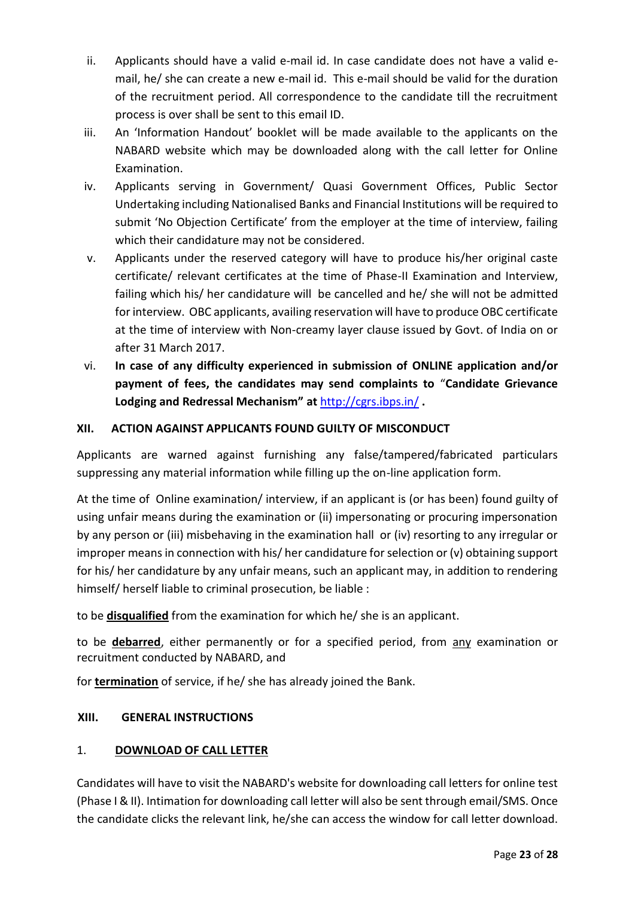- ii. Applicants should have a valid e-mail id. In case candidate does not have a valid email, he/ she can create a new e-mail id. This e-mail should be valid for the duration of the recruitment period. All correspondence to the candidate till the recruitment process is over shall be sent to this email ID.
- iii. An 'Information Handout' booklet will be made available to the applicants on the NABARD website which may be downloaded along with the call letter for Online Examination.
- iv. Applicants serving in Government/ Quasi Government Offices, Public Sector Undertaking including Nationalised Banks and Financial Institutions will be required to submit 'No Objection Certificate' from the employer at the time of interview, failing which their candidature may not be considered.
- v. Applicants under the reserved category will have to produce his/her original caste certificate/ relevant certificates at the time of Phase-II Examination and Interview, failing which his/ her candidature will be cancelled and he/ she will not be admitted for interview. OBC applicants, availing reservation will have to produce OBC certificate at the time of interview with Non-creamy layer clause issued by Govt. of India on or after 31 March 2017.
- vi. **In case of any difficulty experienced in submission of ONLINE application and/or payment of fees, the candidates may send complaints to** "**Candidate Grievance Lodging and Redressal Mechanism" at** <http://cgrs.ibps.in/> **.**

### **XII. ACTION AGAINST APPLICANTS FOUND GUILTY OF MISCONDUCT**

Applicants are warned against furnishing any false/tampered/fabricated particulars suppressing any material information while filling up the on-line application form.

At the time of Online examination/ interview, if an applicant is (or has been) found guilty of using unfair means during the examination or (ii) impersonating or procuring impersonation by any person or (iii) misbehaving in the examination hall or (iv) resorting to any irregular or improper means in connection with his/ her candidature for selection or (v) obtaining support for his/ her candidature by any unfair means, such an applicant may, in addition to rendering himself/ herself liable to criminal prosecution, be liable :

to be **disqualified** from the examination for which he/ she is an applicant.

to be **debarred**, either permanently or for a specified period, from any examination or recruitment conducted by NABARD, and

for **termination** of service, if he/ she has already joined the Bank.

### **XIII. GENERAL INSTRUCTIONS**

### 1. **DOWNLOAD OF CALL LETTER**

Candidates will have to visit the NABARD's website for downloading call letters for online test (Phase I & II). Intimation for downloading call letter will also be sent through email/SMS. Once the candidate clicks the relevant link, he/she can access the window for call letter download.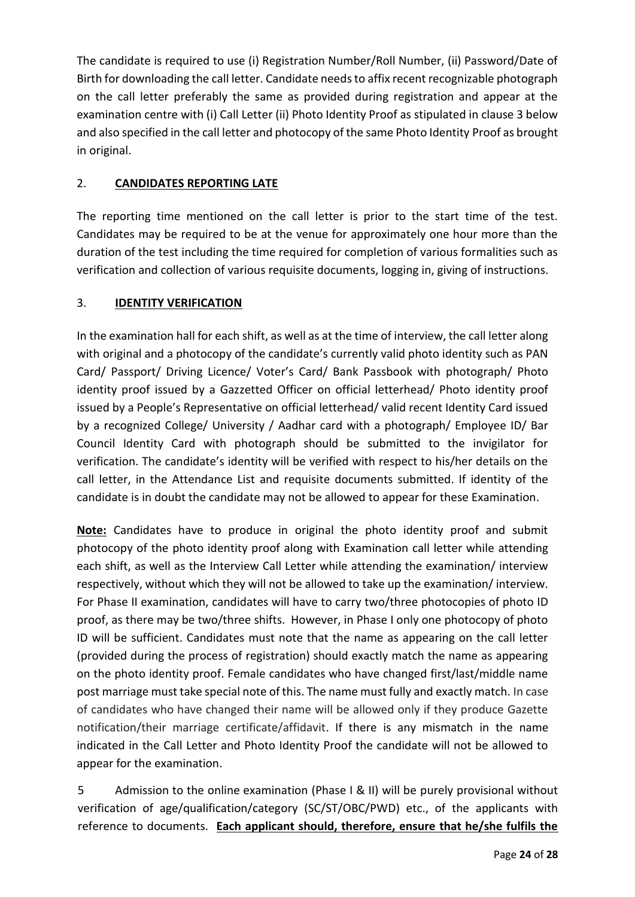The candidate is required to use (i) Registration Number/Roll Number, (ii) Password/Date of Birth for downloading the call letter. Candidate needs to affix recent recognizable photograph on the call letter preferably the same as provided during registration and appear at the examination centre with (i) Call Letter (ii) Photo Identity Proof as stipulated in clause 3 below and also specified in the call letter and photocopy of the same Photo Identity Proof as brought in original.

### 2. **CANDIDATES REPORTING LATE**

The reporting time mentioned on the call letter is prior to the start time of the test. Candidates may be required to be at the venue for approximately one hour more than the duration of the test including the time required for completion of various formalities such as verification and collection of various requisite documents, logging in, giving of instructions.

### 3. **IDENTITY VERIFICATION**

In the examination hall for each shift, as well as at the time of interview, the call letter along with original and a photocopy of the candidate's currently valid photo identity such as PAN Card/ Passport/ Driving Licence/ Voter's Card/ Bank Passbook with photograph/ Photo identity proof issued by a Gazzetted Officer on official letterhead/ Photo identity proof issued by a People's Representative on official letterhead/ valid recent Identity Card issued by a recognized College/ University / Aadhar card with a photograph/ Employee ID/ Bar Council Identity Card with photograph should be submitted to the invigilator for verification. The candidate's identity will be verified with respect to his/her details on the call letter, in the Attendance List and requisite documents submitted. If identity of the candidate is in doubt the candidate may not be allowed to appear for these Examination.

**Note:** Candidates have to produce in original the photo identity proof and submit photocopy of the photo identity proof along with Examination call letter while attending each shift, as well as the Interview Call Letter while attending the examination/ interview respectively, without which they will not be allowed to take up the examination/ interview. For Phase II examination, candidates will have to carry two/three photocopies of photo ID proof, as there may be two/three shifts. However, in Phase I only one photocopy of photo ID will be sufficient. Candidates must note that the name as appearing on the call letter (provided during the process of registration) should exactly match the name as appearing on the photo identity proof. Female candidates who have changed first/last/middle name post marriage must take special note of this. The name must fully and exactly match. In case of candidates who have changed their name will be allowed only if they produce Gazette notification/their marriage certificate/affidavit. If there is any mismatch in the name indicated in the Call Letter and Photo Identity Proof the candidate will not be allowed to appear for the examination.

5 Admission to the online examination (Phase I & II) will be purely provisional without verification of age/qualification/category (SC/ST/OBC/PWD) etc., of the applicants with reference to documents. **Each applicant should, therefore, ensure that he/she fulfils the**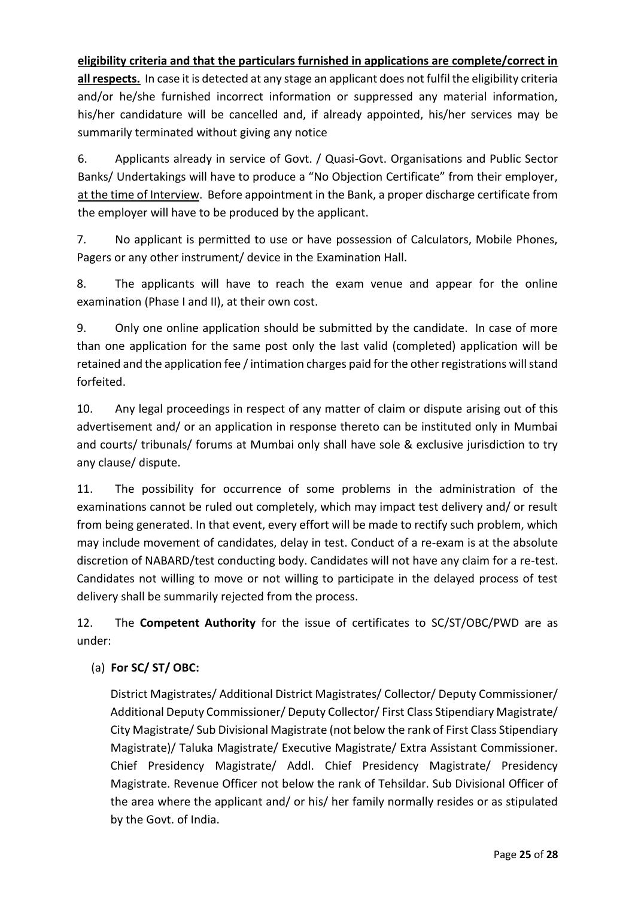**eligibility criteria and that the particulars furnished in applications are complete/correct in** 

**all respects.** In case it is detected at any stage an applicant does not fulfil the eligibility criteria and/or he/she furnished incorrect information or suppressed any material information, his/her candidature will be cancelled and, if already appointed, his/her services may be summarily terminated without giving any notice

6. Applicants already in service of Govt. / Quasi-Govt. Organisations and Public Sector Banks/ Undertakings will have to produce a "No Objection Certificate" from their employer, at the time of Interview. Before appointment in the Bank, a proper discharge certificate from the employer will have to be produced by the applicant.

7. No applicant is permitted to use or have possession of Calculators, Mobile Phones, Pagers or any other instrument/ device in the Examination Hall.

8. The applicants will have to reach the exam venue and appear for the online examination (Phase I and II), at their own cost.

9. Only one online application should be submitted by the candidate. In case of more than one application for the same post only the last valid (completed) application will be retained and the application fee / intimation charges paid for the other registrations will stand forfeited.

10. Any legal proceedings in respect of any matter of claim or dispute arising out of this advertisement and/ or an application in response thereto can be instituted only in Mumbai and courts/ tribunals/ forums at Mumbai only shall have sole & exclusive jurisdiction to try any clause/ dispute.

11. The possibility for occurrence of some problems in the administration of the examinations cannot be ruled out completely, which may impact test delivery and/ or result from being generated. In that event, every effort will be made to rectify such problem, which may include movement of candidates, delay in test. Conduct of a re-exam is at the absolute discretion of NABARD/test conducting body. Candidates will not have any claim for a re-test. Candidates not willing to move or not willing to participate in the delayed process of test delivery shall be summarily rejected from the process.

12. The **Competent Authority** for the issue of certificates to SC/ST/OBC/PWD are as under:

# (a) **For SC/ ST/ OBC:**

District Magistrates/ Additional District Magistrates/ Collector/ Deputy Commissioner/ Additional Deputy Commissioner/ Deputy Collector/ First Class Stipendiary Magistrate/ City Magistrate/ Sub Divisional Magistrate (not below the rank of First Class Stipendiary Magistrate)/ Taluka Magistrate/ Executive Magistrate/ Extra Assistant Commissioner. Chief Presidency Magistrate/ Addl. Chief Presidency Magistrate/ Presidency Magistrate. Revenue Officer not below the rank of Tehsildar. Sub Divisional Officer of the area where the applicant and/ or his/ her family normally resides or as stipulated by the Govt. of India.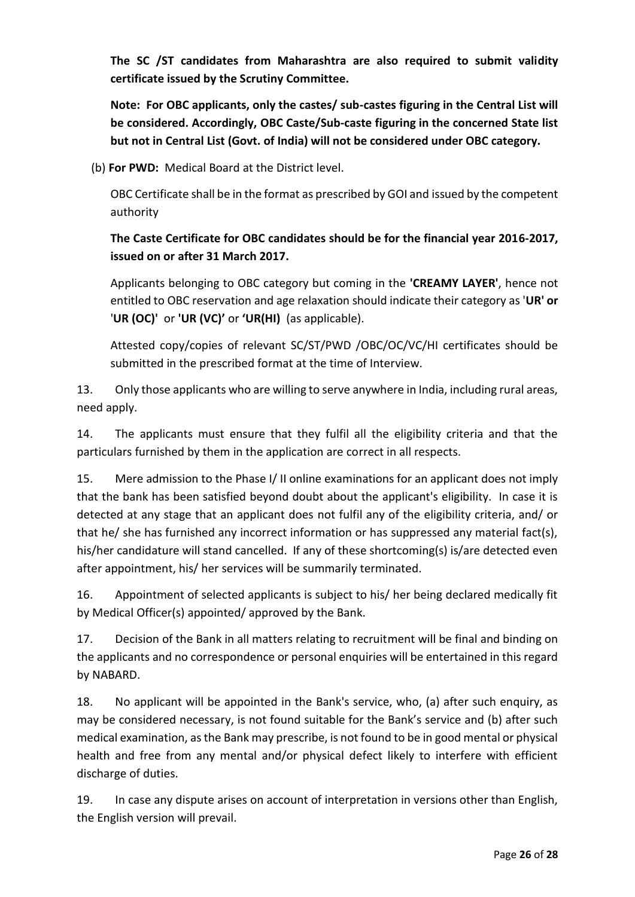**The SC /ST candidates from Maharashtra are also required to submit validity certificate issued by the Scrutiny Committee.**

**Note: For OBC applicants, only the castes/ sub-castes figuring in the Central List will be considered. Accordingly, OBC Caste/Sub-caste figuring in the concerned State list but not in Central List (Govt. of India) will not be considered under OBC category.**

(b) **For PWD:** Medical Board at the District level.

OBC Certificate shall be in the format as prescribed by GOI and issued by the competent authority

# **The Caste Certificate for OBC candidates should be for the financial year 2016-2017, issued on or after 31 March 2017.**

Applicants belonging to OBC category but coming in the **'CREAMY LAYER'**, hence not entitled to OBC reservation and age relaxation should indicate their category as '**UR' or**  '**UR (OC)'** or **'UR (VC)'** or **'UR(HI)** (as applicable).

Attested copy/copies of relevant SC/ST/PWD /OBC/OC/VC/HI certificates should be submitted in the prescribed format at the time of Interview.

13. Only those applicants who are willing to serve anywhere in India, including rural areas, need apply.

14. The applicants must ensure that they fulfil all the eligibility criteria and that the particulars furnished by them in the application are correct in all respects.

15. Mere admission to the Phase I/ II online examinations for an applicant does not imply that the bank has been satisfied beyond doubt about the applicant's eligibility. In case it is detected at any stage that an applicant does not fulfil any of the eligibility criteria, and/ or that he/ she has furnished any incorrect information or has suppressed any material fact(s), his/her candidature will stand cancelled. If any of these shortcoming(s) is/are detected even after appointment, his/ her services will be summarily terminated.

16. Appointment of selected applicants is subject to his/ her being declared medically fit by Medical Officer(s) appointed/ approved by the Bank.

17. Decision of the Bank in all matters relating to recruitment will be final and binding on the applicants and no correspondence or personal enquiries will be entertained in this regard by NABARD.

18. No applicant will be appointed in the Bank's service, who, (a) after such enquiry, as may be considered necessary, is not found suitable for the Bank's service and (b) after such medical examination, as the Bank may prescribe, is not found to be in good mental or physical health and free from any mental and/or physical defect likely to interfere with efficient discharge of duties.

19. In case any dispute arises on account of interpretation in versions other than English, the English version will prevail.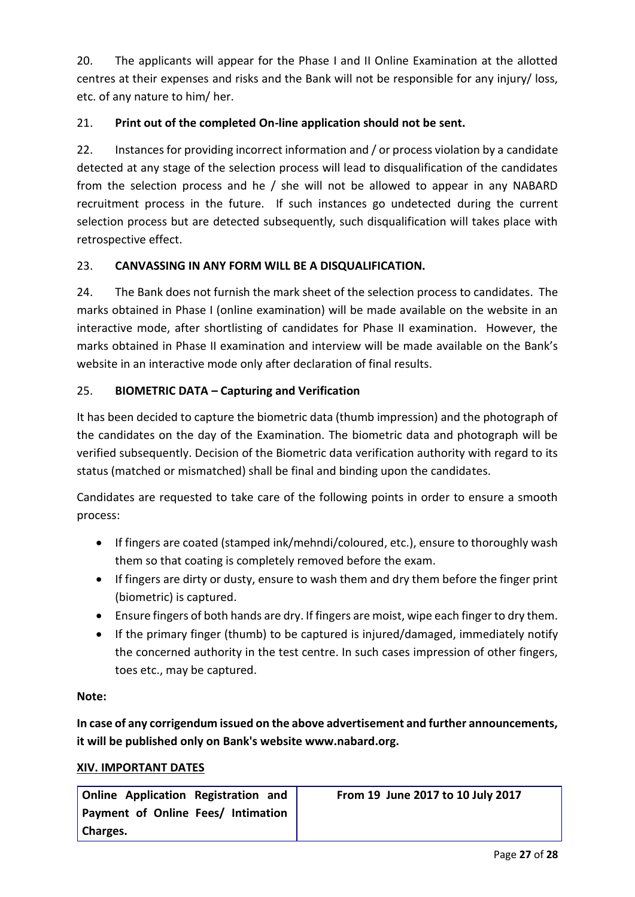20. The applicants will appear for the Phase I and II Online Examination at the allotted centres at their expenses and risks and the Bank will not be responsible for any injury/ loss, etc. of any nature to him/ her.

# 21. **Print out of the completed On-line application should not be sent.**

22. Instances for providing incorrect information and / or process violation by a candidate detected at any stage of the selection process will lead to disqualification of the candidates from the selection process and he / she will not be allowed to appear in any NABARD recruitment process in the future. If such instances go undetected during the current selection process but are detected subsequently, such disqualification will takes place with retrospective effect.

### 23. **CANVASSING IN ANY FORM WILL BE A DISQUALIFICATION.**

24. The Bank does not furnish the mark sheet of the selection process to candidates. The marks obtained in Phase I (online examination) will be made available on the website in an interactive mode, after shortlisting of candidates for Phase II examination. However, the marks obtained in Phase II examination and interview will be made available on the Bank's website in an interactive mode only after declaration of final results.

### 25. **BIOMETRIC DATA – Capturing and Verification**

It has been decided to capture the biometric data (thumb impression) and the photograph of the candidates on the day of the Examination. The biometric data and photograph will be verified subsequently. Decision of the Biometric data verification authority with regard to its status (matched or mismatched) shall be final and binding upon the candidates.

Candidates are requested to take care of the following points in order to ensure a smooth process:

- If fingers are coated (stamped ink/mehndi/coloured, etc.), ensure to thoroughly wash them so that coating is completely removed before the exam.
- If fingers are dirty or dusty, ensure to wash them and dry them before the finger print (biometric) is captured.
- Ensure fingers of both hands are dry. If fingers are moist, wipe each finger to dry them.
- If the primary finger (thumb) to be captured is injured/damaged, immediately notify the concerned authority in the test centre. In such cases impression of other fingers, toes etc., may be captured.

### **Note:**

**In case of any corrigendum issued on the above advertisement and further announcements, it will be published only on Bank's website www.nabard.org.**

### **XIV. IMPORTANT DATES**

| Online Application Registration and | From 19 June 2017 to 10 July 2017 |
|-------------------------------------|-----------------------------------|
| Payment of Online Fees/ Intimation  |                                   |
| Charges.                            |                                   |